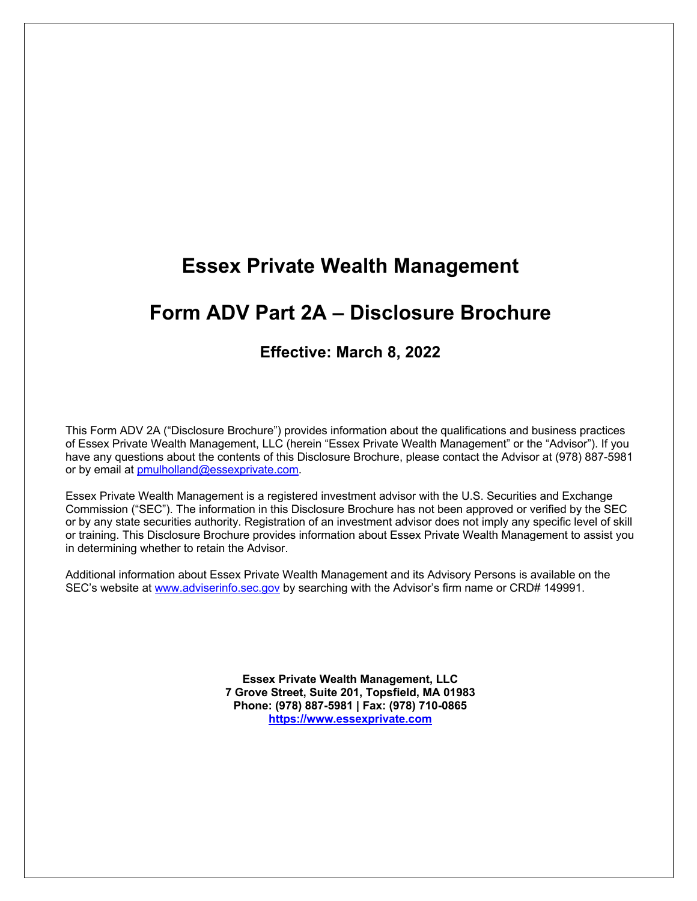# **Essex Private Wealth Management**

# **Form ADV Part 2A – Disclosure Brochure**

# **Effective: March 8, 2022**

This Form ADV 2A ("Disclosure Brochure") provides information about the qualifications and business practices of Essex Private Wealth Management, LLC (herein "Essex Private Wealth Management" or the "Advisor"). If you have any questions about the contents of this Disclosure Brochure, please contact the Advisor at (978) 887-5981 or by email at pmulholland@essexprivate.com.

Essex Private Wealth Management is a registered investment advisor with the U.S. Securities and Exchange Commission ("SEC"). The information in this Disclosure Brochure has not been approved or verified by the SEC or by any state securities authority. Registration of an investment advisor does not imply any specific level of skill or training. This Disclosure Brochure provides information about Essex Private Wealth Management to assist you in determining whether to retain the Advisor.

Additional information about Essex Private Wealth Management and its Advisory Persons is available on the SEC's website at www.adviserinfo.sec.gov by searching with the Advisor's firm name or CRD# 149991.

> **Essex Private Wealth Management, LLC 7 Grove Street, Suite 201, Topsfield, MA 01983 Phone: (978) 887-5981 | Fax: (978) 710-0865 https://www.essexprivate.com**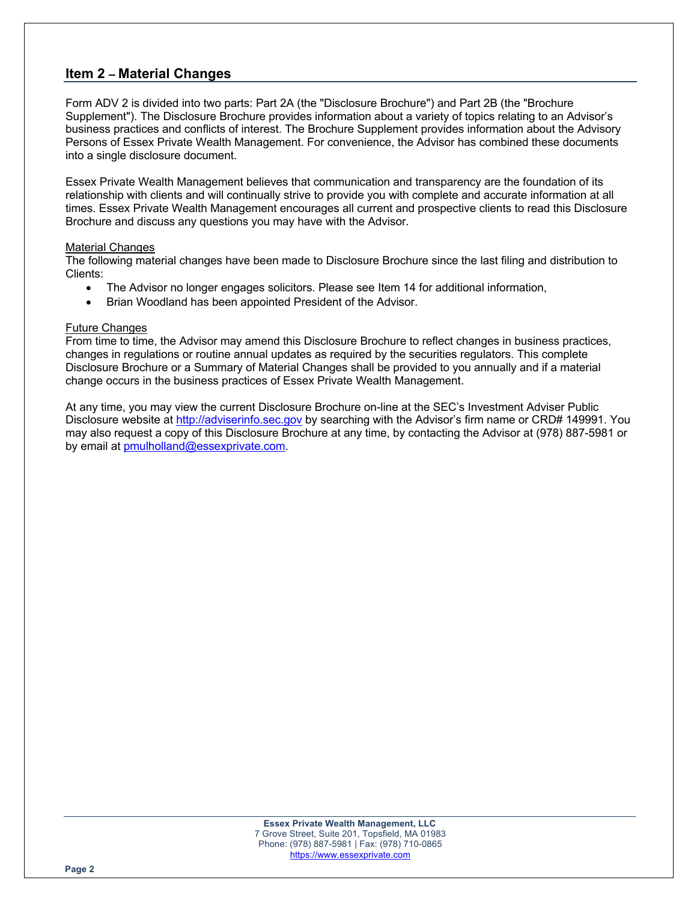## **Item 2 – Material Changes**

Form ADV 2 is divided into two parts: Part 2A (the "Disclosure Brochure") and Part 2B (the "Brochure Supplement"). The Disclosure Brochure provides information about a variety of topics relating to an Advisor's business practices and conflicts of interest. The Brochure Supplement provides information about the Advisory Persons of Essex Private Wealth Management. For convenience, the Advisor has combined these documents into a single disclosure document.

Essex Private Wealth Management believes that communication and transparency are the foundation of its relationship with clients and will continually strive to provide you with complete and accurate information at all times. Essex Private Wealth Management encourages all current and prospective clients to read this Disclosure Brochure and discuss any questions you may have with the Advisor.

#### Material Changes

The following material changes have been made to Disclosure Brochure since the last filing and distribution to Clients:

- The Advisor no longer engages solicitors. Please see Item 14 for additional information,
- Brian Woodland has been appointed President of the Advisor.

#### Future Changes

From time to time, the Advisor may amend this Disclosure Brochure to reflect changes in business practices, changes in regulations or routine annual updates as required by the securities regulators. This complete Disclosure Brochure or a Summary of Material Changes shall be provided to you annually and if a material change occurs in the business practices of Essex Private Wealth Management.

At any time, you may view the current Disclosure Brochure on-line at the SEC's Investment Adviser Public Disclosure website at http://adviserinfo.sec.gov by searching with the Advisor's firm name or CRD# 149991. You may also request a copy of this Disclosure Brochure at any time, by contacting the Advisor at (978) 887-5981 or by email at pmulholland@essexprivate.com.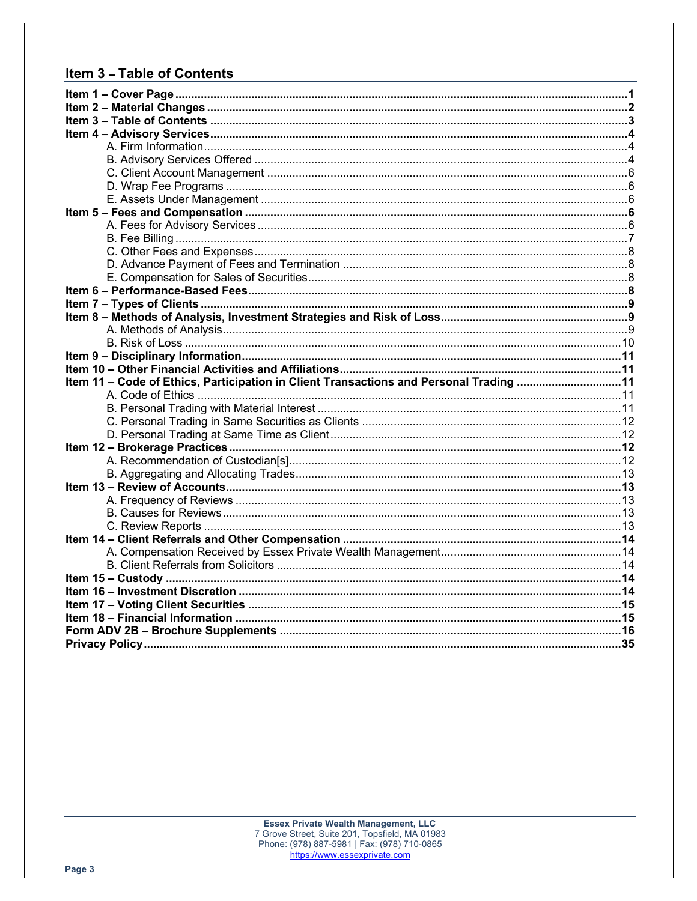# Item 3 - Table of Contents

| Item 11 - Code of Ethics, Participation in Client Transactions and Personal Trading 11 |  |
|----------------------------------------------------------------------------------------|--|
|                                                                                        |  |
|                                                                                        |  |
|                                                                                        |  |
|                                                                                        |  |
|                                                                                        |  |
|                                                                                        |  |
|                                                                                        |  |
|                                                                                        |  |
|                                                                                        |  |
|                                                                                        |  |
|                                                                                        |  |
|                                                                                        |  |
|                                                                                        |  |
|                                                                                        |  |
|                                                                                        |  |
|                                                                                        |  |
|                                                                                        |  |
|                                                                                        |  |
|                                                                                        |  |
|                                                                                        |  |
|                                                                                        |  |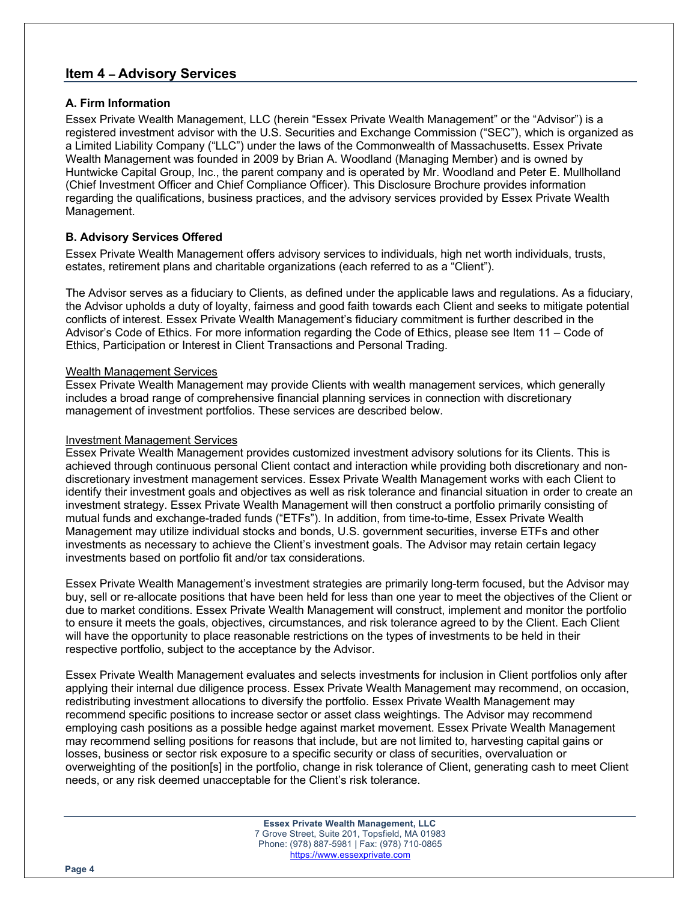## **Item 4 – Advisory Services**

### **A. Firm Information**

Essex Private Wealth Management, LLC (herein "Essex Private Wealth Management" or the "Advisor") is a registered investment advisor with the U.S. Securities and Exchange Commission ("SEC"), which is organized as a Limited Liability Company ("LLC") under the laws of the Commonwealth of Massachusetts. Essex Private Wealth Management was founded in 2009 by Brian A. Woodland (Managing Member) and is owned by Huntwicke Capital Group, Inc., the parent company and is operated by Mr. Woodland and Peter E. Mullholland (Chief Investment Officer and Chief Compliance Officer). This Disclosure Brochure provides information regarding the qualifications, business practices, and the advisory services provided by Essex Private Wealth Management.

## **B. Advisory Services Offered**

Essex Private Wealth Management offers advisory services to individuals, high net worth individuals, trusts, estates, retirement plans and charitable organizations (each referred to as a "Client").

The Advisor serves as a fiduciary to Clients, as defined under the applicable laws and regulations. As a fiduciary, the Advisor upholds a duty of loyalty, fairness and good faith towards each Client and seeks to mitigate potential conflicts of interest. Essex Private Wealth Management's fiduciary commitment is further described in the Advisor's Code of Ethics. For more information regarding the Code of Ethics, please see Item 11 – Code of Ethics, Participation or Interest in Client Transactions and Personal Trading.

#### Wealth Management Services

Essex Private Wealth Management may provide Clients with wealth management services, which generally includes a broad range of comprehensive financial planning services in connection with discretionary management of investment portfolios. These services are described below.

#### Investment Management Services

Essex Private Wealth Management provides customized investment advisory solutions for its Clients. This is achieved through continuous personal Client contact and interaction while providing both discretionary and nondiscretionary investment management services. Essex Private Wealth Management works with each Client to identify their investment goals and objectives as well as risk tolerance and financial situation in order to create an investment strategy. Essex Private Wealth Management will then construct a portfolio primarily consisting of mutual funds and exchange-traded funds ("ETFs"). In addition, from time-to-time, Essex Private Wealth Management may utilize individual stocks and bonds, U.S. government securities, inverse ETFs and other investments as necessary to achieve the Client's investment goals. The Advisor may retain certain legacy investments based on portfolio fit and/or tax considerations.

Essex Private Wealth Management's investment strategies are primarily long-term focused, but the Advisor may buy, sell or re-allocate positions that have been held for less than one year to meet the objectives of the Client or due to market conditions. Essex Private Wealth Management will construct, implement and monitor the portfolio to ensure it meets the goals, objectives, circumstances, and risk tolerance agreed to by the Client. Each Client will have the opportunity to place reasonable restrictions on the types of investments to be held in their respective portfolio, subject to the acceptance by the Advisor.

Essex Private Wealth Management evaluates and selects investments for inclusion in Client portfolios only after applying their internal due diligence process. Essex Private Wealth Management may recommend, on occasion, redistributing investment allocations to diversify the portfolio. Essex Private Wealth Management may recommend specific positions to increase sector or asset class weightings. The Advisor may recommend employing cash positions as a possible hedge against market movement. Essex Private Wealth Management may recommend selling positions for reasons that include, but are not limited to, harvesting capital gains or losses, business or sector risk exposure to a specific security or class of securities, overvaluation or overweighting of the position[s] in the portfolio, change in risk tolerance of Client, generating cash to meet Client needs, or any risk deemed unacceptable for the Client's risk tolerance.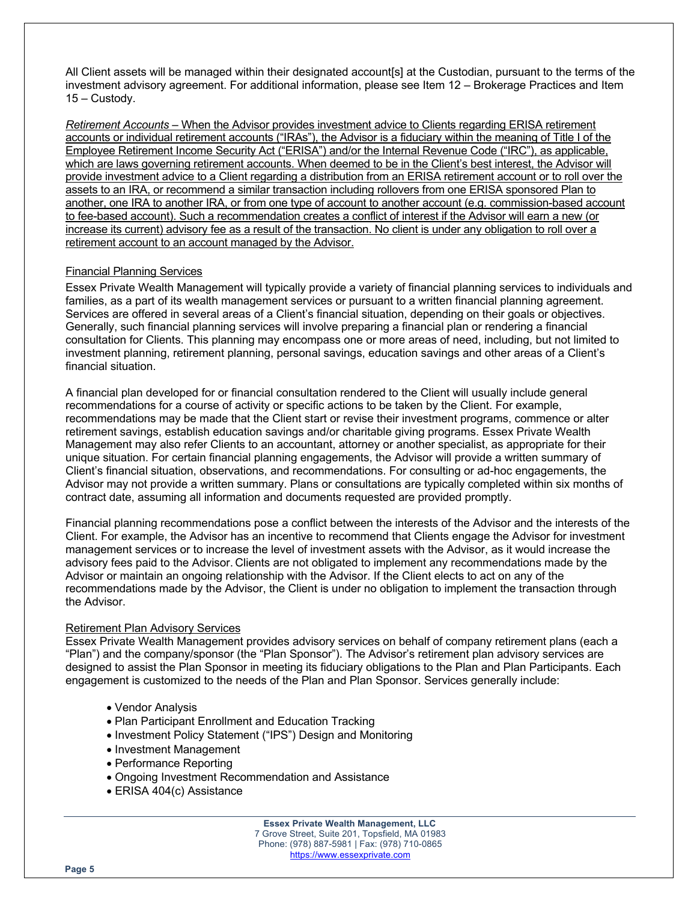All Client assets will be managed within their designated account[s] at the Custodian, pursuant to the terms of the investment advisory agreement. For additional information, please see Item 12 – Brokerage Practices and Item 15 – Custody.

*Retirement Accounts –* When the Advisor provides investment advice to Clients regarding ERISA retirement accounts or individual retirement accounts ("IRAs"), the Advisor is a fiduciary within the meaning of Title I of the Employee Retirement Income Security Act ("ERISA") and/or the Internal Revenue Code ("IRC"), as applicable, which are laws governing retirement accounts. When deemed to be in the Client's best interest, the Advisor will provide investment advice to a Client regarding a distribution from an ERISA retirement account or to roll over the assets to an IRA, or recommend a similar transaction including rollovers from one ERISA sponsored Plan to another, one IRA to another IRA, or from one type of account to another account (e.g. commission-based account to fee-based account). Such a recommendation creates a conflict of interest if the Advisor will earn a new (or increase its current) advisory fee as a result of the transaction. No client is under any obligation to roll over a retirement account to an account managed by the Advisor.

#### Financial Planning Services

Essex Private Wealth Management will typically provide a variety of financial planning services to individuals and families, as a part of its wealth management services or pursuant to a written financial planning agreement. Services are offered in several areas of a Client's financial situation, depending on their goals or objectives. Generally, such financial planning services will involve preparing a financial plan or rendering a financial consultation for Clients. This planning may encompass one or more areas of need, including, but not limited to investment planning, retirement planning, personal savings, education savings and other areas of a Client's financial situation.

A financial plan developed for or financial consultation rendered to the Client will usually include general recommendations for a course of activity or specific actions to be taken by the Client. For example, recommendations may be made that the Client start or revise their investment programs, commence or alter retirement savings, establish education savings and/or charitable giving programs. Essex Private Wealth Management may also refer Clients to an accountant, attorney or another specialist, as appropriate for their unique situation. For certain financial planning engagements, the Advisor will provide a written summary of Client's financial situation, observations, and recommendations. For consulting or ad-hoc engagements, the Advisor may not provide a written summary. Plans or consultations are typically completed within six months of contract date, assuming all information and documents requested are provided promptly.

Financial planning recommendations pose a conflict between the interests of the Advisor and the interests of the Client. For example, the Advisor has an incentive to recommend that Clients engage the Advisor for investment management services or to increase the level of investment assets with the Advisor, as it would increase the advisory fees paid to the Advisor. Clients are not obligated to implement any recommendations made by the Advisor or maintain an ongoing relationship with the Advisor. If the Client elects to act on any of the recommendations made by the Advisor, the Client is under no obligation to implement the transaction through the Advisor.

#### Retirement Plan Advisory Services

Essex Private Wealth Management provides advisory services on behalf of company retirement plans (each a "Plan") and the company/sponsor (the "Plan Sponsor"). The Advisor's retirement plan advisory services are designed to assist the Plan Sponsor in meeting its fiduciary obligations to the Plan and Plan Participants. Each engagement is customized to the needs of the Plan and Plan Sponsor. Services generally include:

- Vendor Analysis
- Plan Participant Enrollment and Education Tracking
- Investment Policy Statement ("IPS") Design and Monitoring
- Investment Management
- Performance Reporting
- Ongoing Investment Recommendation and Assistance
- ERISA 404(c) Assistance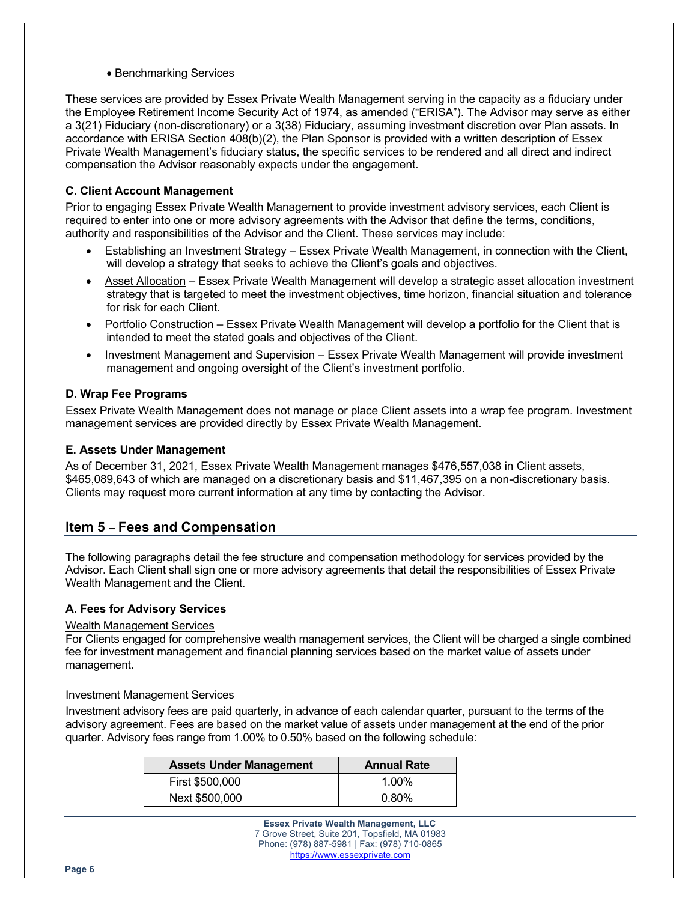• Benchmarking Services

These services are provided by Essex Private Wealth Management serving in the capacity as a fiduciary under the Employee Retirement Income Security Act of 1974, as amended ("ERISA"). The Advisor may serve as either a 3(21) Fiduciary (non-discretionary) or a 3(38) Fiduciary, assuming investment discretion over Plan assets. In accordance with ERISA Section 408(b)(2), the Plan Sponsor is provided with a written description of Essex Private Wealth Management's fiduciary status, the specific services to be rendered and all direct and indirect compensation the Advisor reasonably expects under the engagement.

#### **C. Client Account Management**

Prior to engaging Essex Private Wealth Management to provide investment advisory services, each Client is required to enter into one or more advisory agreements with the Advisor that define the terms, conditions, authority and responsibilities of the Advisor and the Client. These services may include:

- Establishing an Investment Strategy Essex Private Wealth Management, in connection with the Client, will develop a strategy that seeks to achieve the Client's goals and objectives.
- Asset Allocation Essex Private Wealth Management will develop a strategic asset allocation investment strategy that is targeted to meet the investment objectives, time horizon, financial situation and tolerance for risk for each Client.
- Portfolio Construction Essex Private Wealth Management will develop a portfolio for the Client that is intended to meet the stated goals and objectives of the Client.
- Investment Management and Supervision Essex Private Wealth Management will provide investment management and ongoing oversight of the Client's investment portfolio.

#### **D. Wrap Fee Programs**

Essex Private Wealth Management does not manage or place Client assets into a wrap fee program. Investment management services are provided directly by Essex Private Wealth Management.

#### **E. Assets Under Management**

As of December 31, 2021, Essex Private Wealth Management manages \$476,557,038 in Client assets, \$465,089,643 of which are managed on a discretionary basis and \$11,467,395 on a non-discretionary basis. Clients may request more current information at any time by contacting the Advisor.

## **Item 5 – Fees and Compensation**

The following paragraphs detail the fee structure and compensation methodology for services provided by the Advisor. Each Client shall sign one or more advisory agreements that detail the responsibilities of Essex Private Wealth Management and the Client.

#### **A. Fees for Advisory Services**

#### Wealth Management Services

For Clients engaged for comprehensive wealth management services, the Client will be charged a single combined fee for investment management and financial planning services based on the market value of assets under management.

#### Investment Management Services

Investment advisory fees are paid quarterly, in advance of each calendar quarter, pursuant to the terms of the advisory agreement. Fees are based on the market value of assets under management at the end of the prior quarter. Advisory fees range from 1.00% to 0.50% based on the following schedule:

| <b>Assets Under Management</b> | <b>Annual Rate</b> |
|--------------------------------|--------------------|
| First \$500,000                | $1.00\%$           |
| Next \$500,000                 | $0.80\%$           |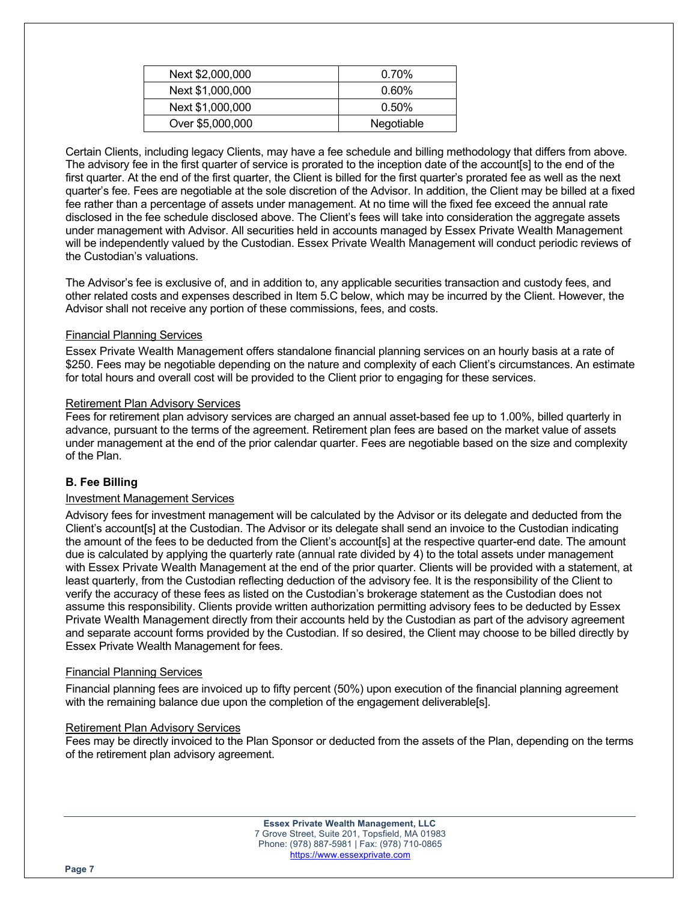| Next \$2,000,000 | $0.70\%$   |
|------------------|------------|
| Next \$1,000,000 | $0.60\%$   |
| Next \$1,000,000 | $0.50\%$   |
| Over \$5,000,000 | Negotiable |

Certain Clients, including legacy Clients, may have a fee schedule and billing methodology that differs from above. The advisory fee in the first quarter of service is prorated to the inception date of the account[s] to the end of the first quarter. At the end of the first quarter, the Client is billed for the first quarter's prorated fee as well as the next quarter's fee. Fees are negotiable at the sole discretion of the Advisor. In addition, the Client may be billed at a fixed fee rather than a percentage of assets under management. At no time will the fixed fee exceed the annual rate disclosed in the fee schedule disclosed above. The Client's fees will take into consideration the aggregate assets under management with Advisor. All securities held in accounts managed by Essex Private Wealth Management will be independently valued by the Custodian. Essex Private Wealth Management will conduct periodic reviews of the Custodian's valuations.

The Advisor's fee is exclusive of, and in addition to, any applicable securities transaction and custody fees, and other related costs and expenses described in Item 5.C below, which may be incurred by the Client. However, the Advisor shall not receive any portion of these commissions, fees, and costs.

#### Financial Planning Services

Essex Private Wealth Management offers standalone financial planning services on an hourly basis at a rate of \$250. Fees may be negotiable depending on the nature and complexity of each Client's circumstances. An estimate for total hours and overall cost will be provided to the Client prior to engaging for these services.

#### Retirement Plan Advisory Services

Fees for retirement plan advisory services are charged an annual asset-based fee up to 1.00%, billed quarterly in advance, pursuant to the terms of the agreement. Retirement plan fees are based on the market value of assets under management at the end of the prior calendar quarter. Fees are negotiable based on the size and complexity of the Plan.

#### **B. Fee Billing**

#### Investment Management Services

Advisory fees for investment management will be calculated by the Advisor or its delegate and deducted from the Client's account[s] at the Custodian. The Advisor or its delegate shall send an invoice to the Custodian indicating the amount of the fees to be deducted from the Client's account[s] at the respective quarter-end date. The amount due is calculated by applying the quarterly rate (annual rate divided by 4) to the total assets under management with Essex Private Wealth Management at the end of the prior quarter. Clients will be provided with a statement, at least quarterly, from the Custodian reflecting deduction of the advisory fee. It is the responsibility of the Client to verify the accuracy of these fees as listed on the Custodian's brokerage statement as the Custodian does not assume this responsibility. Clients provide written authorization permitting advisory fees to be deducted by Essex Private Wealth Management directly from their accounts held by the Custodian as part of the advisory agreement and separate account forms provided by the Custodian. If so desired, the Client may choose to be billed directly by Essex Private Wealth Management for fees.

#### Financial Planning Services

Financial planning fees are invoiced up to fifty percent (50%) upon execution of the financial planning agreement with the remaining balance due upon the completion of the engagement deliverable[s].

#### Retirement Plan Advisory Services

Fees may be directly invoiced to the Plan Sponsor or deducted from the assets of the Plan, depending on the terms of the retirement plan advisory agreement.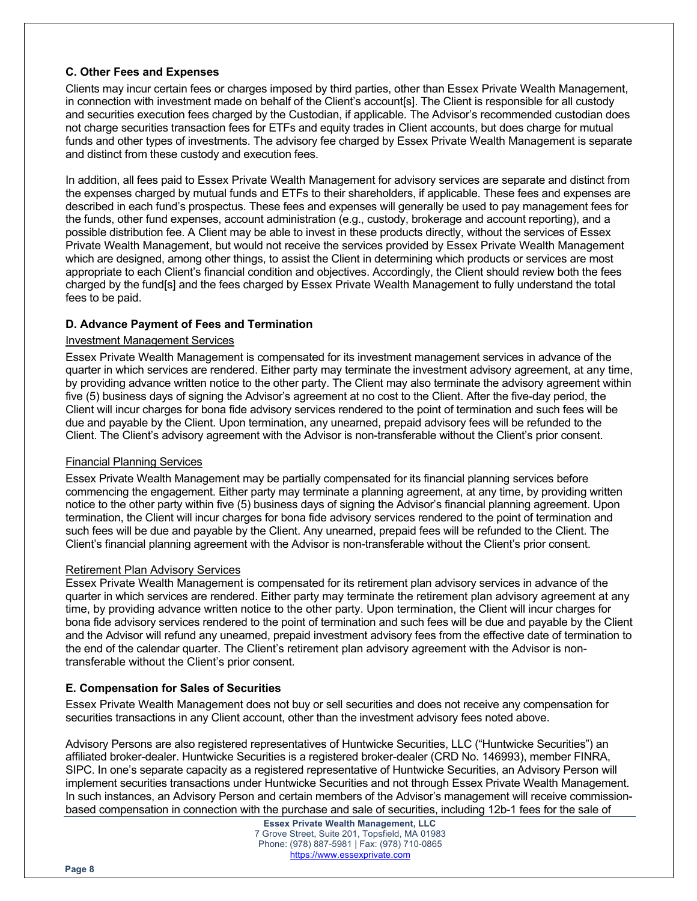#### **C. Other Fees and Expenses**

Clients may incur certain fees or charges imposed by third parties, other than Essex Private Wealth Management, in connection with investment made on behalf of the Client's account[s]. The Client is responsible for all custody and securities execution fees charged by the Custodian, if applicable. The Advisor's recommended custodian does not charge securities transaction fees for ETFs and equity trades in Client accounts, but does charge for mutual funds and other types of investments. The advisory fee charged by Essex Private Wealth Management is separate and distinct from these custody and execution fees.

In addition, all fees paid to Essex Private Wealth Management for advisory services are separate and distinct from the expenses charged by mutual funds and ETFs to their shareholders, if applicable. These fees and expenses are described in each fund's prospectus. These fees and expenses will generally be used to pay management fees for the funds, other fund expenses, account administration (e.g., custody, brokerage and account reporting), and a possible distribution fee. A Client may be able to invest in these products directly, without the services of Essex Private Wealth Management, but would not receive the services provided by Essex Private Wealth Management which are designed, among other things, to assist the Client in determining which products or services are most appropriate to each Client's financial condition and objectives. Accordingly, the Client should review both the fees charged by the fund[s] and the fees charged by Essex Private Wealth Management to fully understand the total fees to be paid.

#### **D. Advance Payment of Fees and Termination**

#### Investment Management Services

Essex Private Wealth Management is compensated for its investment management services in advance of the quarter in which services are rendered. Either party may terminate the investment advisory agreement, at any time, by providing advance written notice to the other party. The Client may also terminate the advisory agreement within five (5) business days of signing the Advisor's agreement at no cost to the Client. After the five-day period, the Client will incur charges for bona fide advisory services rendered to the point of termination and such fees will be due and payable by the Client. Upon termination, any unearned, prepaid advisory fees will be refunded to the Client. The Client's advisory agreement with the Advisor is non-transferable without the Client's prior consent.

#### Financial Planning Services

Essex Private Wealth Management may be partially compensated for its financial planning services before commencing the engagement. Either party may terminate a planning agreement, at any time, by providing written notice to the other party within five (5) business days of signing the Advisor's financial planning agreement. Upon termination, the Client will incur charges for bona fide advisory services rendered to the point of termination and such fees will be due and payable by the Client. Any unearned, prepaid fees will be refunded to the Client. The Client's financial planning agreement with the Advisor is non-transferable without the Client's prior consent.

#### Retirement Plan Advisory Services

Essex Private Wealth Management is compensated for its retirement plan advisory services in advance of the quarter in which services are rendered. Either party may terminate the retirement plan advisory agreement at any time, by providing advance written notice to the other party. Upon termination, the Client will incur charges for bona fide advisory services rendered to the point of termination and such fees will be due and payable by the Client and the Advisor will refund any unearned, prepaid investment advisory fees from the effective date of termination to the end of the calendar quarter. The Client's retirement plan advisory agreement with the Advisor is nontransferable without the Client's prior consent.

#### **E. Compensation for Sales of Securities**

Essex Private Wealth Management does not buy or sell securities and does not receive any compensation for securities transactions in any Client account, other than the investment advisory fees noted above.

Advisory Persons are also registered representatives of Huntwicke Securities, LLC ("Huntwicke Securities") an affiliated broker-dealer. Huntwicke Securities is a registered broker-dealer (CRD No. 146993), member FINRA, SIPC. In one's separate capacity as a registered representative of Huntwicke Securities, an Advisory Person will implement securities transactions under Huntwicke Securities and not through Essex Private Wealth Management. In such instances, an Advisory Person and certain members of the Advisor's management will receive commissionbased compensation in connection with the purchase and sale of securities, including 12b-1 fees for the sale of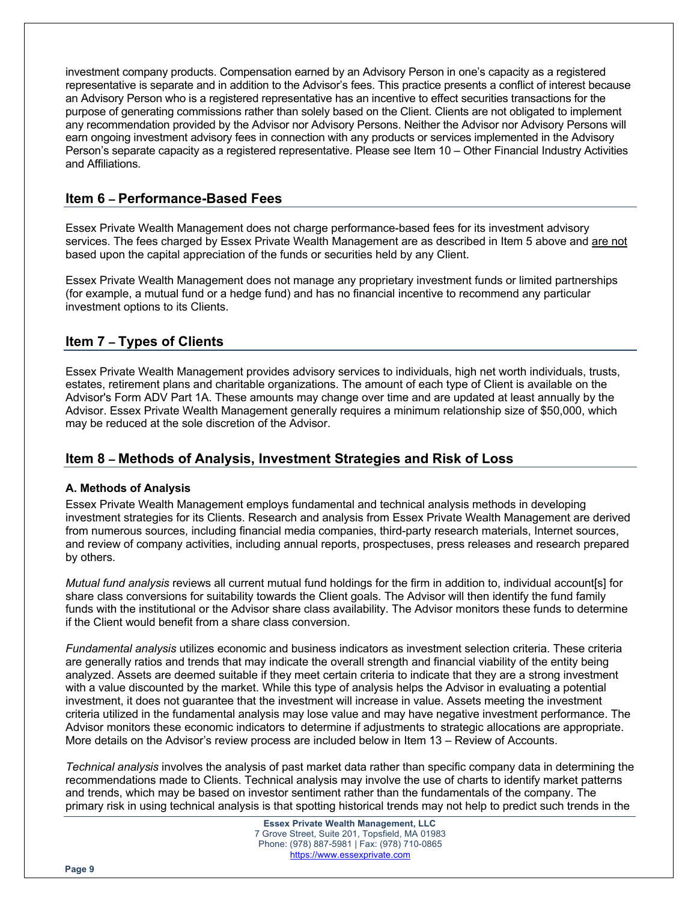investment company products. Compensation earned by an Advisory Person in one's capacity as a registered representative is separate and in addition to the Advisor's fees. This practice presents a conflict of interest because an Advisory Person who is a registered representative has an incentive to effect securities transactions for the purpose of generating commissions rather than solely based on the Client. Clients are not obligated to implement any recommendation provided by the Advisor nor Advisory Persons. Neither the Advisor nor Advisory Persons will earn ongoing investment advisory fees in connection with any products or services implemented in the Advisory Person's separate capacity as a registered representative. Please see Item 10 – Other Financial Industry Activities and Affiliations.

## **Item 6 – Performance-Based Fees**

Essex Private Wealth Management does not charge performance-based fees for its investment advisory services. The fees charged by Essex Private Wealth Management are as described in Item 5 above and are not based upon the capital appreciation of the funds or securities held by any Client.

Essex Private Wealth Management does not manage any proprietary investment funds or limited partnerships (for example, a mutual fund or a hedge fund) and has no financial incentive to recommend any particular investment options to its Clients.

# **Item 7 – Types of Clients**

Essex Private Wealth Management provides advisory services to individuals, high net worth individuals, trusts, estates, retirement plans and charitable organizations. The amount of each type of Client is available on the Advisor's Form ADV Part 1A. These amounts may change over time and are updated at least annually by the Advisor. Essex Private Wealth Management generally requires a minimum relationship size of \$50,000, which may be reduced at the sole discretion of the Advisor.

# **Item 8 – Methods of Analysis, Investment Strategies and Risk of Loss**

#### **A. Methods of Analysis**

Essex Private Wealth Management employs fundamental and technical analysis methods in developing investment strategies for its Clients. Research and analysis from Essex Private Wealth Management are derived from numerous sources, including financial media companies, third-party research materials, Internet sources, and review of company activities, including annual reports, prospectuses, press releases and research prepared by others.

*Mutual fund analysis* reviews all current mutual fund holdings for the firm in addition to, individual account[s] for share class conversions for suitability towards the Client goals. The Advisor will then identify the fund family funds with the institutional or the Advisor share class availability. The Advisor monitors these funds to determine if the Client would benefit from a share class conversion.

*Fundamental analysis* utilizes economic and business indicators as investment selection criteria. These criteria are generally ratios and trends that may indicate the overall strength and financial viability of the entity being analyzed. Assets are deemed suitable if they meet certain criteria to indicate that they are a strong investment with a value discounted by the market. While this type of analysis helps the Advisor in evaluating a potential investment, it does not guarantee that the investment will increase in value. Assets meeting the investment criteria utilized in the fundamental analysis may lose value and may have negative investment performance. The Advisor monitors these economic indicators to determine if adjustments to strategic allocations are appropriate. More details on the Advisor's review process are included below in Item 13 – Review of Accounts.

*Technical analysis* involves the analysis of past market data rather than specific company data in determining the recommendations made to Clients. Technical analysis may involve the use of charts to identify market patterns and trends, which may be based on investor sentiment rather than the fundamentals of the company. The primary risk in using technical analysis is that spotting historical trends may not help to predict such trends in the

> **Essex Private Wealth Management, LLC** 7 Grove Street, Suite 201, Topsfield, MA 01983 Phone: (978) 887-5981 | Fax: (978) 710-0865 https://www.essexprivate.com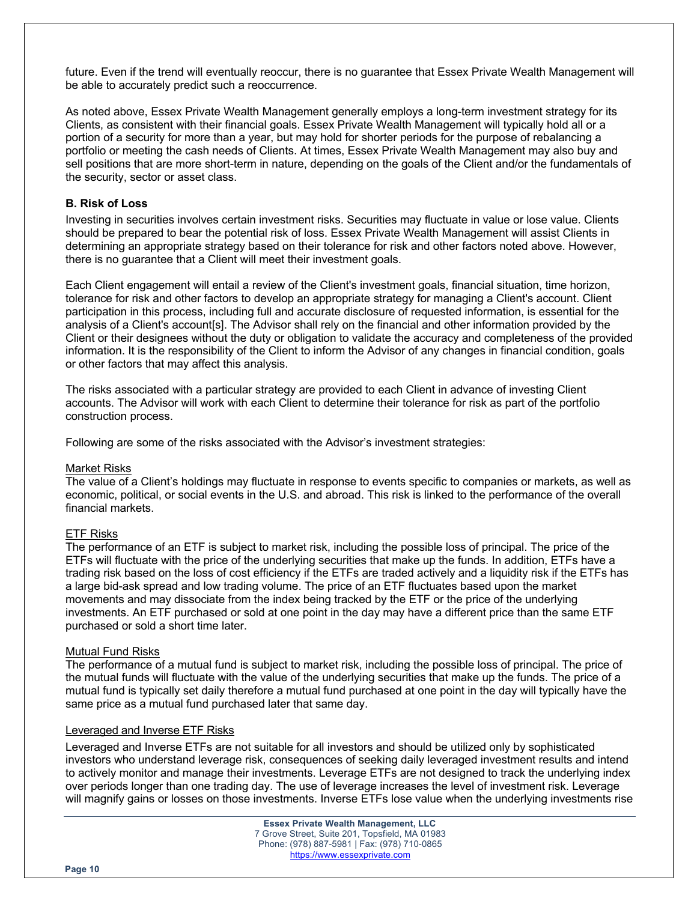future. Even if the trend will eventually reoccur, there is no guarantee that Essex Private Wealth Management will be able to accurately predict such a reoccurrence.

As noted above, Essex Private Wealth Management generally employs a long-term investment strategy for its Clients, as consistent with their financial goals. Essex Private Wealth Management will typically hold all or a portion of a security for more than a year, but may hold for shorter periods for the purpose of rebalancing a portfolio or meeting the cash needs of Clients. At times, Essex Private Wealth Management may also buy and sell positions that are more short-term in nature, depending on the goals of the Client and/or the fundamentals of the security, sector or asset class.

#### **B. Risk of Loss**

Investing in securities involves certain investment risks. Securities may fluctuate in value or lose value. Clients should be prepared to bear the potential risk of loss. Essex Private Wealth Management will assist Clients in determining an appropriate strategy based on their tolerance for risk and other factors noted above. However, there is no guarantee that a Client will meet their investment goals.

Each Client engagement will entail a review of the Client's investment goals, financial situation, time horizon, tolerance for risk and other factors to develop an appropriate strategy for managing a Client's account. Client participation in this process, including full and accurate disclosure of requested information, is essential for the analysis of a Client's account[s]. The Advisor shall rely on the financial and other information provided by the Client or their designees without the duty or obligation to validate the accuracy and completeness of the provided information. It is the responsibility of the Client to inform the Advisor of any changes in financial condition, goals or other factors that may affect this analysis.

The risks associated with a particular strategy are provided to each Client in advance of investing Client accounts. The Advisor will work with each Client to determine their tolerance for risk as part of the portfolio construction process.

Following are some of the risks associated with the Advisor's investment strategies:

#### Market Risks

The value of a Client's holdings may fluctuate in response to events specific to companies or markets, as well as economic, political, or social events in the U.S. and abroad. This risk is linked to the performance of the overall financial markets.

#### ETF Risks

The performance of an ETF is subject to market risk, including the possible loss of principal. The price of the ETFs will fluctuate with the price of the underlying securities that make up the funds. In addition, ETFs have a trading risk based on the loss of cost efficiency if the ETFs are traded actively and a liquidity risk if the ETFs has a large bid-ask spread and low trading volume. The price of an ETF fluctuates based upon the market movements and may dissociate from the index being tracked by the ETF or the price of the underlying investments. An ETF purchased or sold at one point in the day may have a different price than the same ETF purchased or sold a short time later.

#### Mutual Fund Risks

The performance of a mutual fund is subject to market risk, including the possible loss of principal. The price of the mutual funds will fluctuate with the value of the underlying securities that make up the funds. The price of a mutual fund is typically set daily therefore a mutual fund purchased at one point in the day will typically have the same price as a mutual fund purchased later that same day.

#### Leveraged and Inverse ETF Risks

Leveraged and Inverse ETFs are not suitable for all investors and should be utilized only by sophisticated investors who understand leverage risk, consequences of seeking daily leveraged investment results and intend to actively monitor and manage their investments. Leverage ETFs are not designed to track the underlying index over periods longer than one trading day. The use of leverage increases the level of investment risk. Leverage will magnify gains or losses on those investments. Inverse ETFs lose value when the underlying investments rise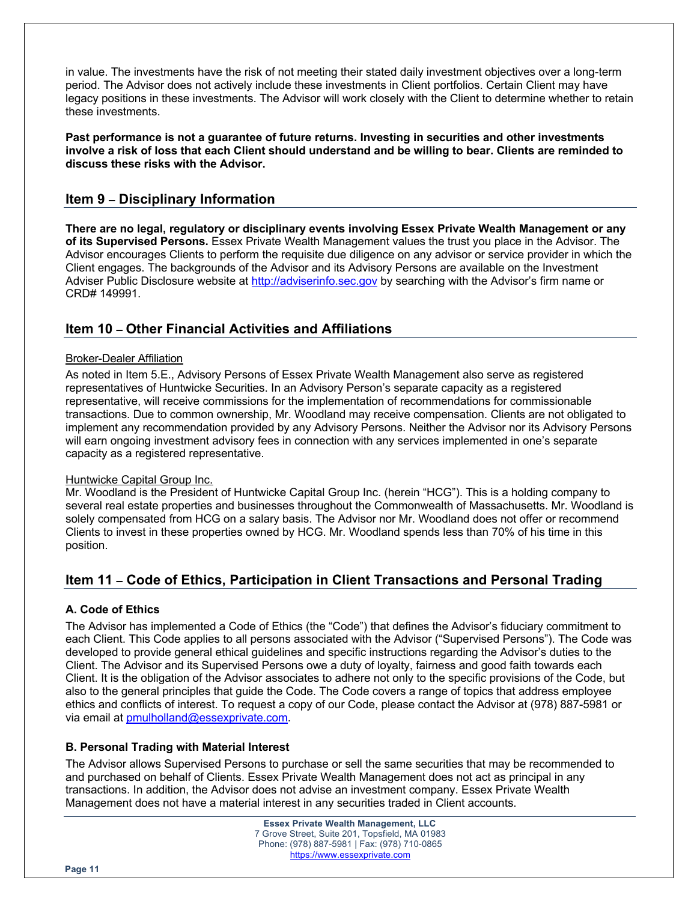in value. The investments have the risk of not meeting their stated daily investment objectives over a long-term period. The Advisor does not actively include these investments in Client portfolios. Certain Client may have legacy positions in these investments. The Advisor will work closely with the Client to determine whether to retain these investments.

**Past performance is not a guarantee of future returns. Investing in securities and other investments involve a risk of loss that each Client should understand and be willing to bear. Clients are reminded to discuss these risks with the Advisor.**

# **Item 9 – Disciplinary Information**

**There are no legal, regulatory or disciplinary events involving Essex Private Wealth Management or any of its Supervised Persons.** Essex Private Wealth Management values the trust you place in the Advisor. The Advisor encourages Clients to perform the requisite due diligence on any advisor or service provider in which the Client engages. The backgrounds of the Advisor and its Advisory Persons are available on the Investment Adviser Public Disclosure website at http://adviserinfo.sec.gov by searching with the Advisor's firm name or CRD# 149991.

# **Item 10 – Other Financial Activities and Affiliations**

### Broker-Dealer Affiliation

As noted in Item 5.E., Advisory Persons of Essex Private Wealth Management also serve as registered representatives of Huntwicke Securities. In an Advisory Person's separate capacity as a registered representative, will receive commissions for the implementation of recommendations for commissionable transactions. Due to common ownership, Mr. Woodland may receive compensation. Clients are not obligated to implement any recommendation provided by any Advisory Persons. Neither the Advisor nor its Advisory Persons will earn ongoing investment advisory fees in connection with any services implemented in one's separate capacity as a registered representative.

#### Huntwicke Capital Group Inc.

Mr. Woodland is the President of Huntwicke Capital Group Inc. (herein "HCG"). This is a holding company to several real estate properties and businesses throughout the Commonwealth of Massachusetts. Mr. Woodland is solely compensated from HCG on a salary basis. The Advisor nor Mr. Woodland does not offer or recommend Clients to invest in these properties owned by HCG. Mr. Woodland spends less than 70% of his time in this position.

# **Item 11 – Code of Ethics, Participation in Client Transactions and Personal Trading**

## **A. Code of Ethics**

The Advisor has implemented a Code of Ethics (the "Code") that defines the Advisor's fiduciary commitment to each Client. This Code applies to all persons associated with the Advisor ("Supervised Persons"). The Code was developed to provide general ethical guidelines and specific instructions regarding the Advisor's duties to the Client. The Advisor and its Supervised Persons owe a duty of loyalty, fairness and good faith towards each Client. It is the obligation of the Advisor associates to adhere not only to the specific provisions of the Code, but also to the general principles that guide the Code. The Code covers a range of topics that address employee ethics and conflicts of interest. To request a copy of our Code, please contact the Advisor at (978) 887-5981 or via email at pmulholland@essexprivate.com.

## **B. Personal Trading with Material Interest**

The Advisor allows Supervised Persons to purchase or sell the same securities that may be recommended to and purchased on behalf of Clients. Essex Private Wealth Management does not act as principal in any transactions. In addition, the Advisor does not advise an investment company. Essex Private Wealth Management does not have a material interest in any securities traded in Client accounts.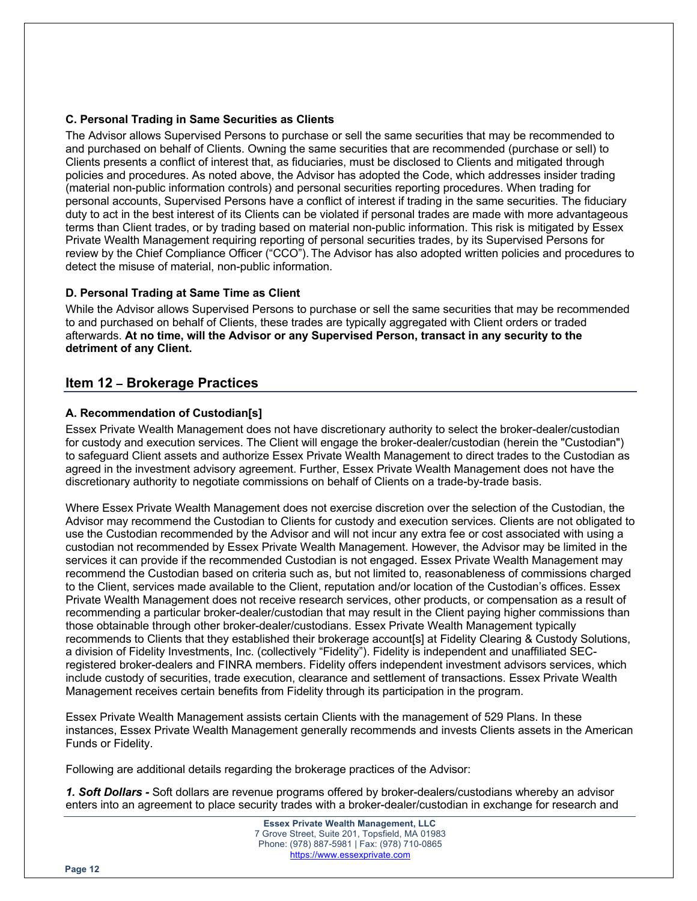#### **C. Personal Trading in Same Securities as Clients**

The Advisor allows Supervised Persons to purchase or sell the same securities that may be recommended to and purchased on behalf of Clients. Owning the same securities that are recommended (purchase or sell) to Clients presents a conflict of interest that, as fiduciaries, must be disclosed to Clients and mitigated through policies and procedures. As noted above, the Advisor has adopted the Code, which addresses insider trading (material non-public information controls) and personal securities reporting procedures. When trading for personal accounts, Supervised Persons have a conflict of interest if trading in the same securities. The fiduciary duty to act in the best interest of its Clients can be violated if personal trades are made with more advantageous terms than Client trades, or by trading based on material non-public information. This risk is mitigated by Essex Private Wealth Management requiring reporting of personal securities trades, by its Supervised Persons for review by the Chief Compliance Officer ("CCO"). The Advisor has also adopted written policies and procedures to detect the misuse of material, non-public information.

#### **D. Personal Trading at Same Time as Client**

While the Advisor allows Supervised Persons to purchase or sell the same securities that may be recommended to and purchased on behalf of Clients, these trades are typically aggregated with Client orders or traded afterwards. **At no time, will the Advisor or any Supervised Person, transact in any security to the detriment of any Client.**

## **Item 12 – Brokerage Practices**

#### **A. Recommendation of Custodian[s]**

Essex Private Wealth Management does not have discretionary authority to select the broker-dealer/custodian for custody and execution services. The Client will engage the broker-dealer/custodian (herein the "Custodian") to safeguard Client assets and authorize Essex Private Wealth Management to direct trades to the Custodian as agreed in the investment advisory agreement. Further, Essex Private Wealth Management does not have the discretionary authority to negotiate commissions on behalf of Clients on a trade-by-trade basis.

Where Essex Private Wealth Management does not exercise discretion over the selection of the Custodian, the Advisor may recommend the Custodian to Clients for custody and execution services. Clients are not obligated to use the Custodian recommended by the Advisor and will not incur any extra fee or cost associated with using a custodian not recommended by Essex Private Wealth Management. However, the Advisor may be limited in the services it can provide if the recommended Custodian is not engaged. Essex Private Wealth Management may recommend the Custodian based on criteria such as, but not limited to, reasonableness of commissions charged to the Client, services made available to the Client, reputation and/or location of the Custodian's offices. Essex Private Wealth Management does not receive research services, other products, or compensation as a result of recommending a particular broker-dealer/custodian that may result in the Client paying higher commissions than those obtainable through other broker-dealer/custodians. Essex Private Wealth Management typically recommends to Clients that they established their brokerage account[s] at Fidelity Clearing & Custody Solutions, a division of Fidelity Investments, Inc. (collectively "Fidelity"). Fidelity is independent and unaffiliated SECregistered broker-dealers and FINRA members. Fidelity offers independent investment advisors services, which include custody of securities, trade execution, clearance and settlement of transactions. Essex Private Wealth Management receives certain benefits from Fidelity through its participation in the program.

Essex Private Wealth Management assists certain Clients with the management of 529 Plans. In these instances, Essex Private Wealth Management generally recommends and invests Clients assets in the American Funds or Fidelity.

Following are additional details regarding the brokerage practices of the Advisor:

*1. Soft Dollars -* Soft dollars are revenue programs offered by broker-dealers/custodians whereby an advisor enters into an agreement to place security trades with a broker-dealer/custodian in exchange for research and

**Page 12**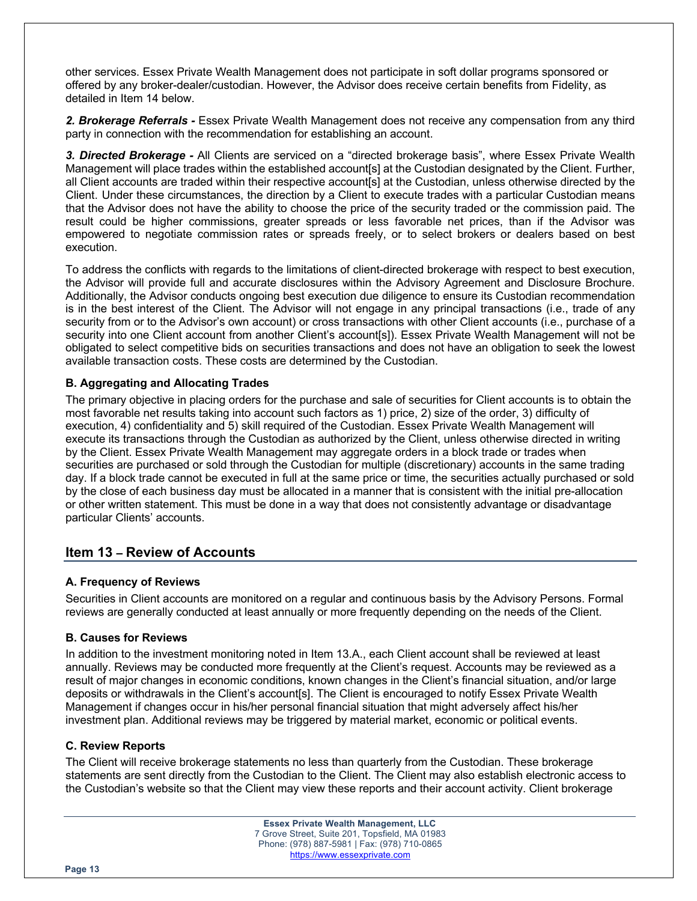other services. Essex Private Wealth Management does not participate in soft dollar programs sponsored or offered by any broker-dealer/custodian. However, the Advisor does receive certain benefits from Fidelity, as detailed in Item 14 below.

*2. Brokerage Referrals -* Essex Private Wealth Management does not receive any compensation from any third party in connection with the recommendation for establishing an account.

*3. Directed Brokerage -* All Clients are serviced on a "directed brokerage basis", where Essex Private Wealth Management will place trades within the established account[s] at the Custodian designated by the Client. Further, all Client accounts are traded within their respective account[s] at the Custodian, unless otherwise directed by the Client. Under these circumstances, the direction by a Client to execute trades with a particular Custodian means that the Advisor does not have the ability to choose the price of the security traded or the commission paid. The result could be higher commissions, greater spreads or less favorable net prices, than if the Advisor was empowered to negotiate commission rates or spreads freely, or to select brokers or dealers based on best execution.

To address the conflicts with regards to the limitations of client-directed brokerage with respect to best execution, the Advisor will provide full and accurate disclosures within the Advisory Agreement and Disclosure Brochure. Additionally, the Advisor conducts ongoing best execution due diligence to ensure its Custodian recommendation is in the best interest of the Client. The Advisor will not engage in any principal transactions (i.e., trade of any security from or to the Advisor's own account) or cross transactions with other Client accounts (i.e., purchase of a security into one Client account from another Client's account[s]). Essex Private Wealth Management will not be obligated to select competitive bids on securities transactions and does not have an obligation to seek the lowest available transaction costs. These costs are determined by the Custodian.

#### **B. Aggregating and Allocating Trades**

The primary objective in placing orders for the purchase and sale of securities for Client accounts is to obtain the most favorable net results taking into account such factors as 1) price, 2) size of the order, 3) difficulty of execution, 4) confidentiality and 5) skill required of the Custodian. Essex Private Wealth Management will execute its transactions through the Custodian as authorized by the Client, unless otherwise directed in writing by the Client. Essex Private Wealth Management may aggregate orders in a block trade or trades when securities are purchased or sold through the Custodian for multiple (discretionary) accounts in the same trading day. If a block trade cannot be executed in full at the same price or time, the securities actually purchased or sold by the close of each business day must be allocated in a manner that is consistent with the initial pre-allocation or other written statement. This must be done in a way that does not consistently advantage or disadvantage particular Clients' accounts.

## **Item 13 – Review of Accounts**

#### **A. Frequency of Reviews**

Securities in Client accounts are monitored on a regular and continuous basis by the Advisory Persons. Formal reviews are generally conducted at least annually or more frequently depending on the needs of the Client.

#### **B. Causes for Reviews**

In addition to the investment monitoring noted in Item 13.A., each Client account shall be reviewed at least annually. Reviews may be conducted more frequently at the Client's request. Accounts may be reviewed as a result of major changes in economic conditions, known changes in the Client's financial situation, and/or large deposits or withdrawals in the Client's account[s]. The Client is encouraged to notify Essex Private Wealth Management if changes occur in his/her personal financial situation that might adversely affect his/her investment plan. Additional reviews may be triggered by material market, economic or political events.

#### **C. Review Reports**

The Client will receive brokerage statements no less than quarterly from the Custodian. These brokerage statements are sent directly from the Custodian to the Client. The Client may also establish electronic access to the Custodian's website so that the Client may view these reports and their account activity. Client brokerage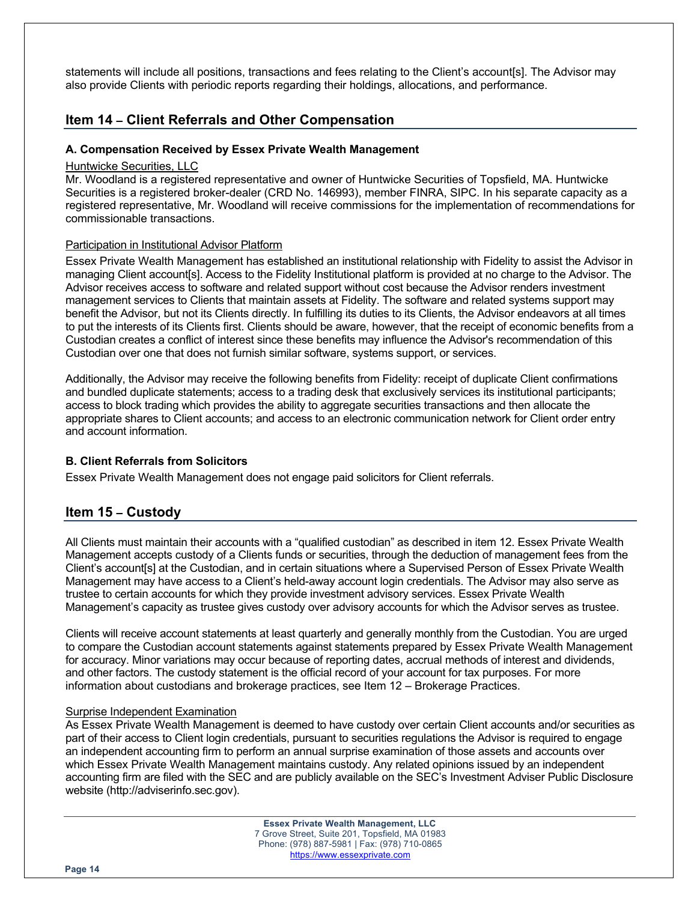statements will include all positions, transactions and fees relating to the Client's account[s]. The Advisor may also provide Clients with periodic reports regarding their holdings, allocations, and performance.

## **Item 14 – Client Referrals and Other Compensation**

#### **A. Compensation Received by Essex Private Wealth Management**

#### Huntwicke Securities, LLC

Mr. Woodland is a registered representative and owner of Huntwicke Securities of Topsfield, MA. Huntwicke Securities is a registered broker-dealer (CRD No. 146993), member FINRA, SIPC. In his separate capacity as a registered representative, Mr. Woodland will receive commissions for the implementation of recommendations for commissionable transactions.

#### Participation in Institutional Advisor Platform

Essex Private Wealth Management has established an institutional relationship with Fidelity to assist the Advisor in managing Client account[s]. Access to the Fidelity Institutional platform is provided at no charge to the Advisor. The Advisor receives access to software and related support without cost because the Advisor renders investment management services to Clients that maintain assets at Fidelity. The software and related systems support may benefit the Advisor, but not its Clients directly. In fulfilling its duties to its Clients, the Advisor endeavors at all times to put the interests of its Clients first. Clients should be aware, however, that the receipt of economic benefits from a Custodian creates a conflict of interest since these benefits may influence the Advisor's recommendation of this Custodian over one that does not furnish similar software, systems support, or services.

Additionally, the Advisor may receive the following benefits from Fidelity: receipt of duplicate Client confirmations and bundled duplicate statements; access to a trading desk that exclusively services its institutional participants; access to block trading which provides the ability to aggregate securities transactions and then allocate the appropriate shares to Client accounts; and access to an electronic communication network for Client order entry and account information.

#### **B. Client Referrals from Solicitors**

Essex Private Wealth Management does not engage paid solicitors for Client referrals.

## **Item 15 – Custody**

All Clients must maintain their accounts with a "qualified custodian" as described in item 12. Essex Private Wealth Management accepts custody of a Clients funds or securities, through the deduction of management fees from the Client's account[s] at the Custodian, and in certain situations where a Supervised Person of Essex Private Wealth Management may have access to a Client's held-away account login credentials. The Advisor may also serve as trustee to certain accounts for which they provide investment advisory services. Essex Private Wealth Management's capacity as trustee gives custody over advisory accounts for which the Advisor serves as trustee.

Clients will receive account statements at least quarterly and generally monthly from the Custodian. You are urged to compare the Custodian account statements against statements prepared by Essex Private Wealth Management for accuracy. Minor variations may occur because of reporting dates, accrual methods of interest and dividends, and other factors. The custody statement is the official record of your account for tax purposes. For more information about custodians and brokerage practices, see Item 12 – Brokerage Practices.

#### Surprise Independent Examination

As Essex Private Wealth Management is deemed to have custody over certain Client accounts and/or securities as part of their access to Client login credentials, pursuant to securities regulations the Advisor is required to engage an independent accounting firm to perform an annual surprise examination of those assets and accounts over which Essex Private Wealth Management maintains custody. Any related opinions issued by an independent accounting firm are filed with the SEC and are publicly available on the SEC's Investment Adviser Public Disclosure website (http://adviserinfo.sec.gov).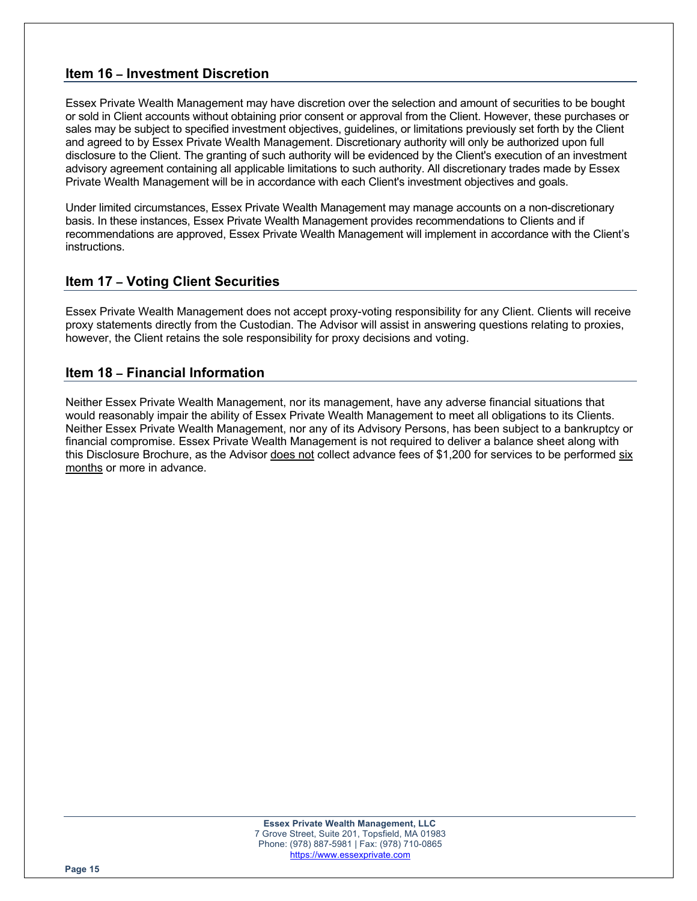# **Item 16 – Investment Discretion**

Essex Private Wealth Management may have discretion over the selection and amount of securities to be bought or sold in Client accounts without obtaining prior consent or approval from the Client. However, these purchases or sales may be subject to specified investment objectives, guidelines, or limitations previously set forth by the Client and agreed to by Essex Private Wealth Management. Discretionary authority will only be authorized upon full disclosure to the Client. The granting of such authority will be evidenced by the Client's execution of an investment advisory agreement containing all applicable limitations to such authority. All discretionary trades made by Essex Private Wealth Management will be in accordance with each Client's investment objectives and goals.

Under limited circumstances, Essex Private Wealth Management may manage accounts on a non-discretionary basis. In these instances, Essex Private Wealth Management provides recommendations to Clients and if recommendations are approved, Essex Private Wealth Management will implement in accordance with the Client's instructions.

# **Item 17 – Voting Client Securities**

Essex Private Wealth Management does not accept proxy-voting responsibility for any Client. Clients will receive proxy statements directly from the Custodian. The Advisor will assist in answering questions relating to proxies, however, the Client retains the sole responsibility for proxy decisions and voting.

## **Item 18 – Financial Information**

Neither Essex Private Wealth Management, nor its management, have any adverse financial situations that would reasonably impair the ability of Essex Private Wealth Management to meet all obligations to its Clients. Neither Essex Private Wealth Management, nor any of its Advisory Persons, has been subject to a bankruptcy or financial compromise. Essex Private Wealth Management is not required to deliver a balance sheet along with this Disclosure Brochure, as the Advisor does not collect advance fees of \$1,200 for services to be performed six months or more in advance.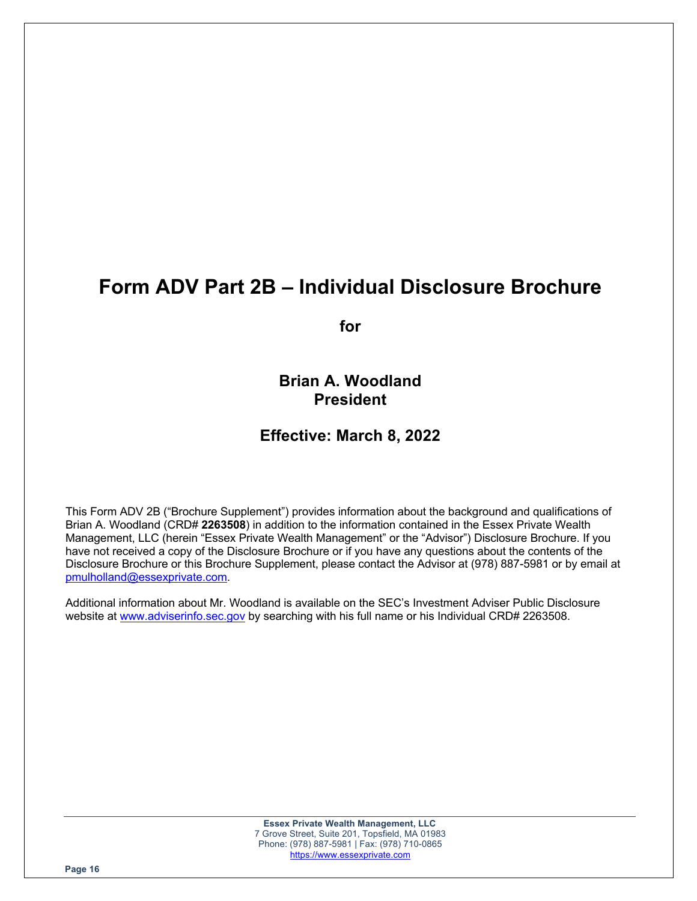# **Form ADV Part 2B – Individual Disclosure Brochure**

**for**

**Brian A. Woodland President**

# **Effective: March 8, 2022**

This Form ADV 2B ("Brochure Supplement") provides information about the background and qualifications of Brian A. Woodland (CRD# **2263508**) in addition to the information contained in the Essex Private Wealth Management, LLC (herein "Essex Private Wealth Management" or the "Advisor") Disclosure Brochure. If you have not received a copy of the Disclosure Brochure or if you have any questions about the contents of the Disclosure Brochure or this Brochure Supplement, please contact the Advisor at (978) 887-5981 or by email at pmulholland@essexprivate.com.

Additional information about Mr. Woodland is available on the SEC's Investment Adviser Public Disclosure website at www.adviserinfo.sec.gov by searching with his full name or his Individual CRD# 2263508.

> **Essex Private Wealth Management, LLC** 7 Grove Street, Suite 201, Topsfield, MA 01983 Phone: (978) 887-5981 | Fax: (978) 710-0865 https://www.essexprivate.com

**Page 16**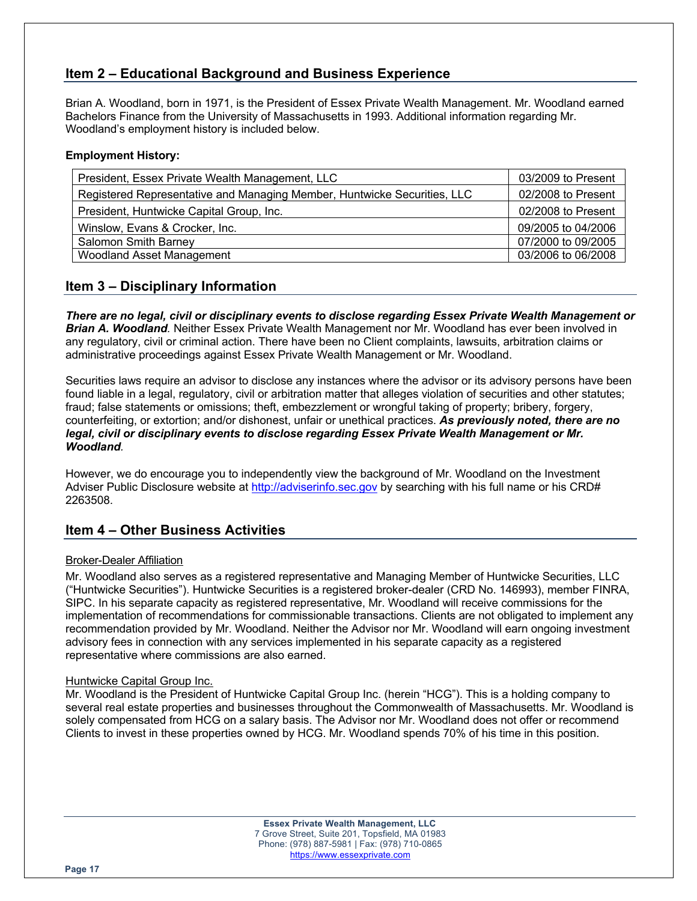# **Item 2 – Educational Background and Business Experience**

Brian A. Woodland, born in 1971, is the President of Essex Private Wealth Management. Mr. Woodland earned Bachelors Finance from the University of Massachusetts in 1993. Additional information regarding Mr. Woodland's employment history is included below.

#### **Employment History:**

| President, Essex Private Wealth Management, LLC                          | 03/2009 to Present |
|--------------------------------------------------------------------------|--------------------|
| Registered Representative and Managing Member, Huntwicke Securities, LLC | 02/2008 to Present |
| President, Huntwicke Capital Group, Inc.                                 | 02/2008 to Present |
| Winslow, Evans & Crocker, Inc.                                           | 09/2005 to 04/2006 |
| <b>Salomon Smith Barney</b>                                              | 07/2000 to 09/2005 |
| <b>Woodland Asset Management</b>                                         | 03/2006 to 06/2008 |

## **Item 3 – Disciplinary Information**

*There are no legal, civil or disciplinary events to disclose regarding Essex Private Wealth Management or Brian A. Woodland.* Neither Essex Private Wealth Management nor Mr. Woodland has ever been involved in any regulatory, civil or criminal action. There have been no Client complaints, lawsuits, arbitration claims or administrative proceedings against Essex Private Wealth Management or Mr. Woodland.

Securities laws require an advisor to disclose any instances where the advisor or its advisory persons have been found liable in a legal, regulatory, civil or arbitration matter that alleges violation of securities and other statutes; fraud; false statements or omissions; theft, embezzlement or wrongful taking of property; bribery, forgery, counterfeiting, or extortion; and/or dishonest, unfair or unethical practices. *As previously noted, there are no legal, civil or disciplinary events to disclose regarding Essex Private Wealth Management or Mr. Woodland.*

However, we do encourage you to independently view the background of Mr. Woodland on the Investment Adviser Public Disclosure website at http://adviserinfo.sec.gov by searching with his full name or his CRD# 2263508.

## **Item 4 – Other Business Activities**

#### Broker-Dealer Affiliation

Mr. Woodland also serves as a registered representative and Managing Member of Huntwicke Securities, LLC ("Huntwicke Securities"). Huntwicke Securities is a registered broker-dealer (CRD No. 146993), member FINRA, SIPC. In his separate capacity as registered representative, Mr. Woodland will receive commissions for the implementation of recommendations for commissionable transactions. Clients are not obligated to implement any recommendation provided by Mr. Woodland. Neither the Advisor nor Mr. Woodland will earn ongoing investment advisory fees in connection with any services implemented in his separate capacity as a registered representative where commissions are also earned.

#### Huntwicke Capital Group Inc.

Mr. Woodland is the President of Huntwicke Capital Group Inc. (herein "HCG"). This is a holding company to several real estate properties and businesses throughout the Commonwealth of Massachusetts. Mr. Woodland is solely compensated from HCG on a salary basis. The Advisor nor Mr. Woodland does not offer or recommend Clients to invest in these properties owned by HCG. Mr. Woodland spends 70% of his time in this position.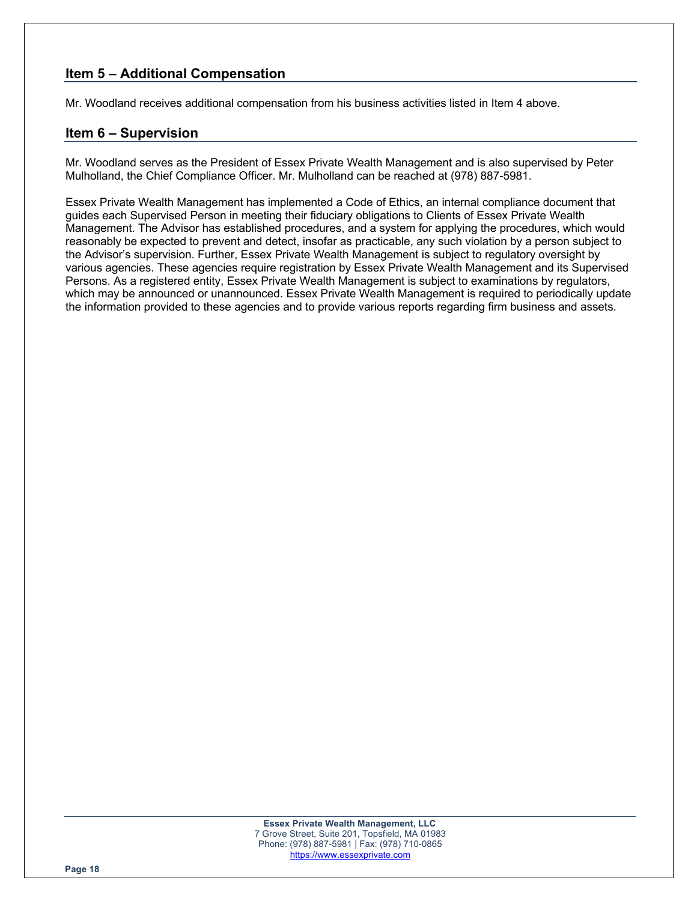# **Item 5 – Additional Compensation**

Mr. Woodland receives additional compensation from his business activities listed in Item 4 above.

## **Item 6 – Supervision**

Mr. Woodland serves as the President of Essex Private Wealth Management and is also supervised by Peter Mulholland, the Chief Compliance Officer. Mr. Mulholland can be reached at (978) 887-5981.

Essex Private Wealth Management has implemented a Code of Ethics, an internal compliance document that guides each Supervised Person in meeting their fiduciary obligations to Clients of Essex Private Wealth Management. The Advisor has established procedures, and a system for applying the procedures, which would reasonably be expected to prevent and detect, insofar as practicable, any such violation by a person subject to the Advisor's supervision. Further, Essex Private Wealth Management is subject to regulatory oversight by various agencies. These agencies require registration by Essex Private Wealth Management and its Supervised Persons. As a registered entity, Essex Private Wealth Management is subject to examinations by regulators, which may be announced or unannounced. Essex Private Wealth Management is required to periodically update the information provided to these agencies and to provide various reports regarding firm business and assets.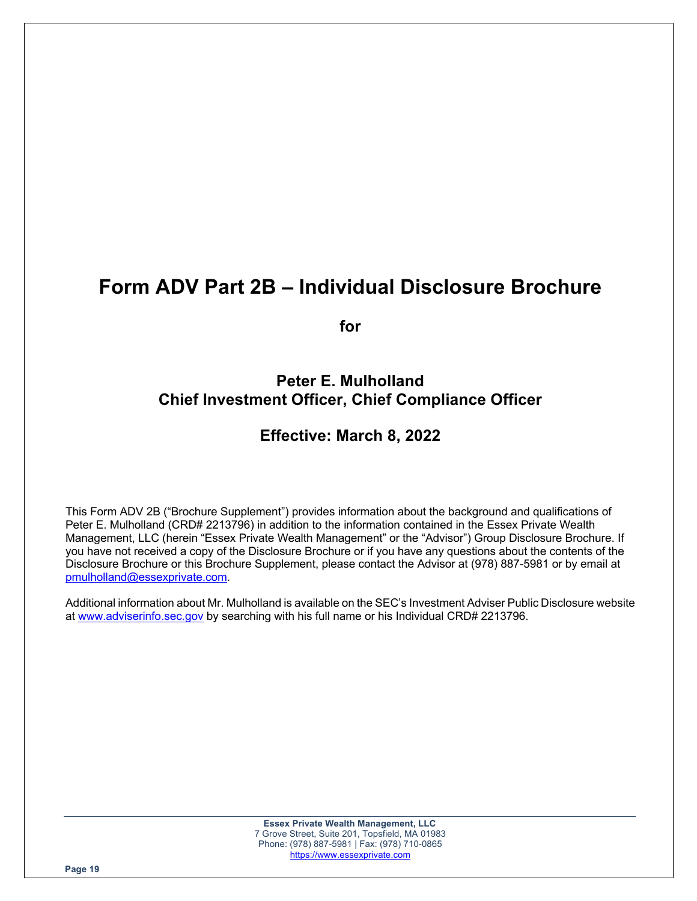# **Form ADV Part 2B – Individual Disclosure Brochure**

**for**

# **Peter E. Mulholland Chief Investment Officer, Chief Compliance Officer**

# **Effective: March 8, 2022**

This Form ADV 2B ("Brochure Supplement") provides information about the background and qualifications of Peter E. Mulholland (CRD# 2213796) in addition to the information contained in the Essex Private Wealth Management, LLC (herein "Essex Private Wealth Management" or the "Advisor") Group Disclosure Brochure. If you have not received a copy of the Disclosure Brochure or if you have any questions about the contents of the Disclosure Brochure or this Brochure Supplement, please contact the Advisor at (978) 887-5981 or by email at pmulholland@essexprivate.com.

Additional information about Mr. Mulholland is available on the SEC's Investment Adviser Public Disclosure website at www.adviserinfo.sec.gov by searching with his full name or his Individual CRD# 2213796.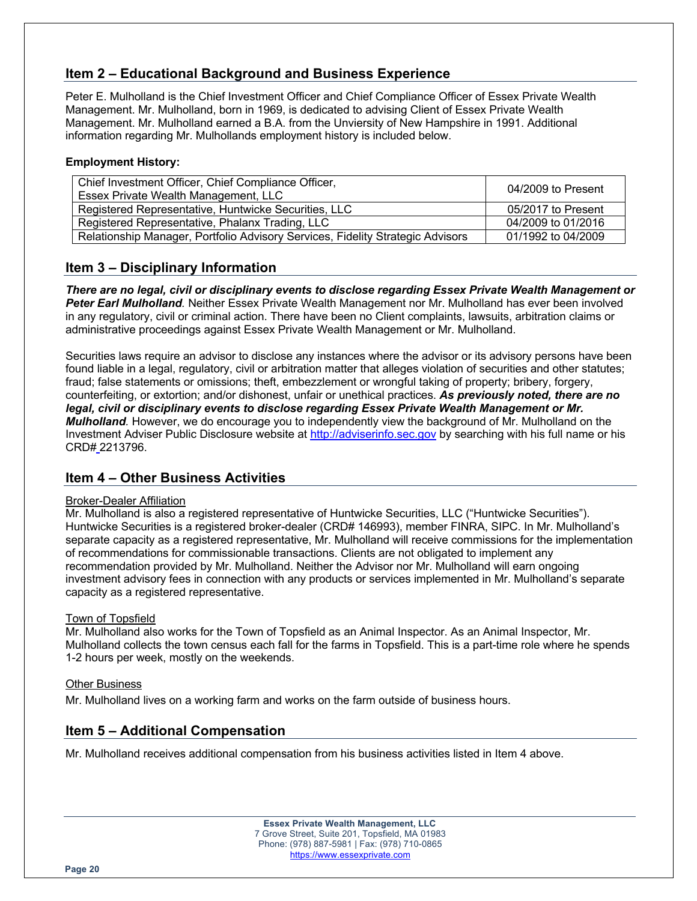# **Item 2 – Educational Background and Business Experience**

Peter E. Mulholland is the Chief Investment Officer and Chief Compliance Officer of Essex Private Wealth Management. Mr. Mulholland, born in 1969, is dedicated to advising Client of Essex Private Wealth Management. Mr. Mulholland earned a B.A. from the Unviersity of New Hampshire in 1991. Additional information regarding Mr. Mulhollands employment history is included below.

#### **Employment History:**

| Chief Investment Officer, Chief Compliance Officer,<br>Essex Private Wealth Management, LLC | 04/2009 to Present |
|---------------------------------------------------------------------------------------------|--------------------|
| Registered Representative, Huntwicke Securities, LLC                                        | 05/2017 to Present |
| Registered Representative, Phalanx Trading, LLC                                             | 04/2009 to 01/2016 |
| Relationship Manager, Portfolio Advisory Services, Fidelity Strategic Advisors              | 01/1992 to 04/2009 |

## **Item 3 – Disciplinary Information**

*There are no legal, civil or disciplinary events to disclose regarding Essex Private Wealth Management or Peter Earl Mulholland.* Neither Essex Private Wealth Management nor Mr. Mulholland has ever been involved in any regulatory, civil or criminal action. There have been no Client complaints, lawsuits, arbitration claims or administrative proceedings against Essex Private Wealth Management or Mr. Mulholland.

Securities laws require an advisor to disclose any instances where the advisor or its advisory persons have been found liable in a legal, regulatory, civil or arbitration matter that alleges violation of securities and other statutes; fraud; false statements or omissions; theft, embezzlement or wrongful taking of property; bribery, forgery, counterfeiting, or extortion; and/or dishonest, unfair or unethical practices. *As previously noted, there are no legal, civil or disciplinary events to disclose regarding Essex Private Wealth Management or Mr. Mulholland.* However, we do encourage you to independently view the background of Mr. Mulholland on the Investment Adviser Public Disclosure website at http://adviserinfo.sec.gov by searching with his full name or his CRD# 2213796.

## **Item 4 – Other Business Activities**

#### Broker-Dealer Affiliation

Mr. Mulholland is also a registered representative of Huntwicke Securities, LLC ("Huntwicke Securities"). Huntwicke Securities is a registered broker-dealer (CRD# 146993), member FINRA, SIPC. In Mr. Mulholland's separate capacity as a registered representative, Mr. Mulholland will receive commissions for the implementation of recommendations for commissionable transactions. Clients are not obligated to implement any recommendation provided by Mr. Mulholland. Neither the Advisor nor Mr. Mulholland will earn ongoing investment advisory fees in connection with any products or services implemented in Mr. Mulholland's separate capacity as a registered representative.

#### Town of Topsfield

Mr. Mulholland also works for the Town of Topsfield as an Animal Inspector. As an Animal Inspector, Mr. Mulholland collects the town census each fall for the farms in Topsfield. This is a part-time role where he spends 1-2 hours per week, mostly on the weekends.

#### Other Business

Mr. Mulholland lives on a working farm and works on the farm outside of business hours.

# **Item 5 – Additional Compensation**

Mr. Mulholland receives additional compensation from his business activities listed in Item 4 above.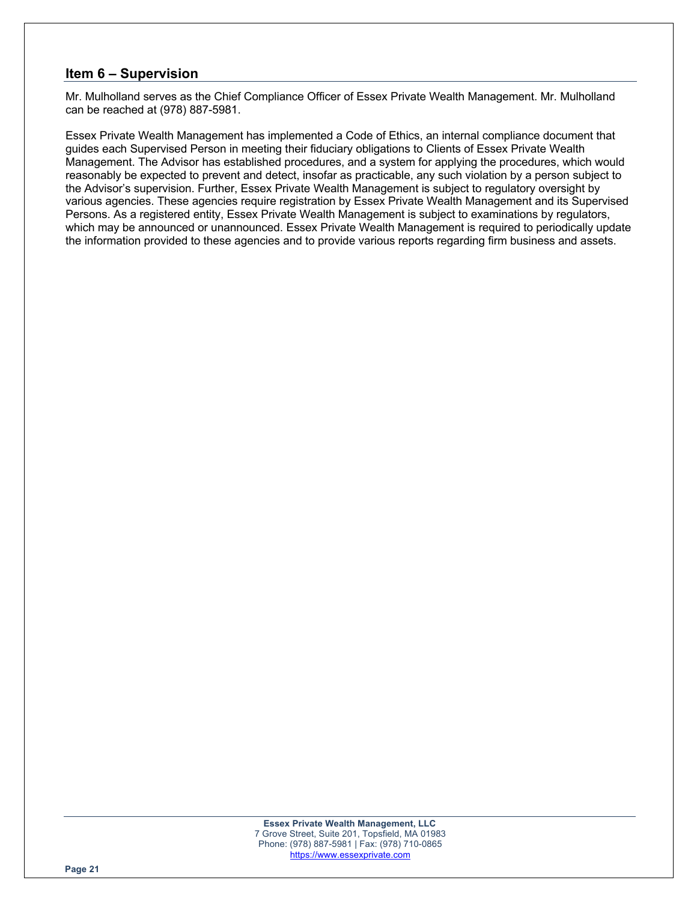## **Item 6 – Supervision**

Mr. Mulholland serves as the Chief Compliance Officer of Essex Private Wealth Management. Mr. Mulholland can be reached at (978) 887-5981.

Essex Private Wealth Management has implemented a Code of Ethics, an internal compliance document that guides each Supervised Person in meeting their fiduciary obligations to Clients of Essex Private Wealth Management. The Advisor has established procedures, and a system for applying the procedures, which would reasonably be expected to prevent and detect, insofar as practicable, any such violation by a person subject to the Advisor's supervision. Further, Essex Private Wealth Management is subject to regulatory oversight by various agencies. These agencies require registration by Essex Private Wealth Management and its Supervised Persons. As a registered entity, Essex Private Wealth Management is subject to examinations by regulators, which may be announced or unannounced. Essex Private Wealth Management is required to periodically update the information provided to these agencies and to provide various reports regarding firm business and assets.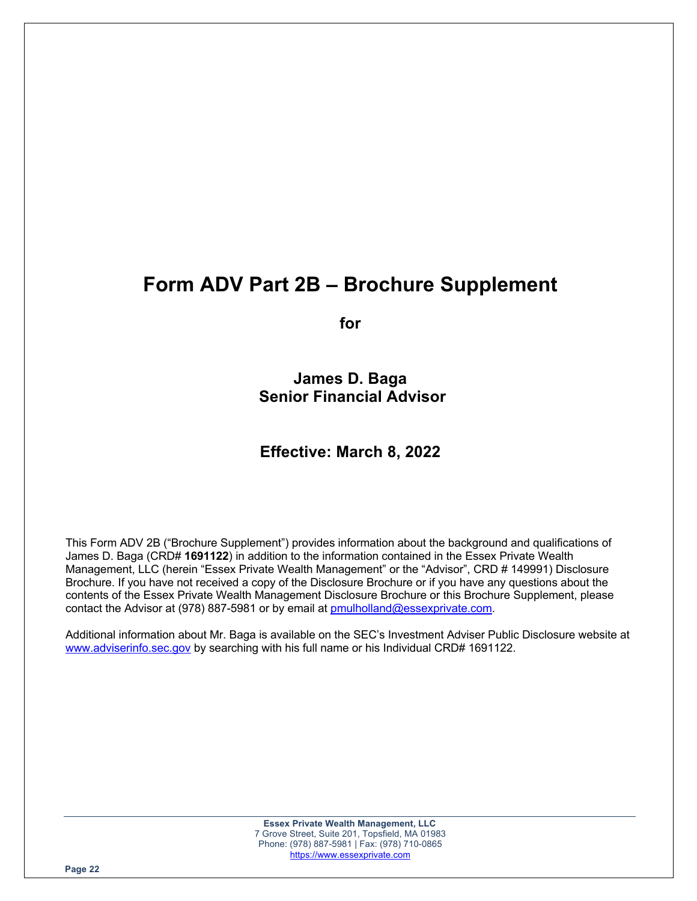# **Form ADV Part 2B – Brochure Supplement**

**for**

**James D. Baga Senior Financial Advisor**

# **Effective: March 8, 2022**

This Form ADV 2B ("Brochure Supplement") provides information about the background and qualifications of James D. Baga (CRD# **1691122**) in addition to the information contained in the Essex Private Wealth Management, LLC (herein "Essex Private Wealth Management" or the "Advisor", CRD # 149991) Disclosure Brochure. If you have not received a copy of the Disclosure Brochure or if you have any questions about the contents of the Essex Private Wealth Management Disclosure Brochure or this Brochure Supplement, please contact the Advisor at (978) 887-5981 or by email at pmulholland@essexprivate.com.

Additional information about Mr. Baga is available on the SEC's Investment Adviser Public Disclosure website at www.adviserinfo.sec.gov by searching with his full name or his Individual CRD# 1691122.

> **Essex Private Wealth Management, LLC** 7 Grove Street, Suite 201, Topsfield, MA 01983 Phone: (978) 887-5981 | Fax: (978) 710-0865 https://www.essexprivate.com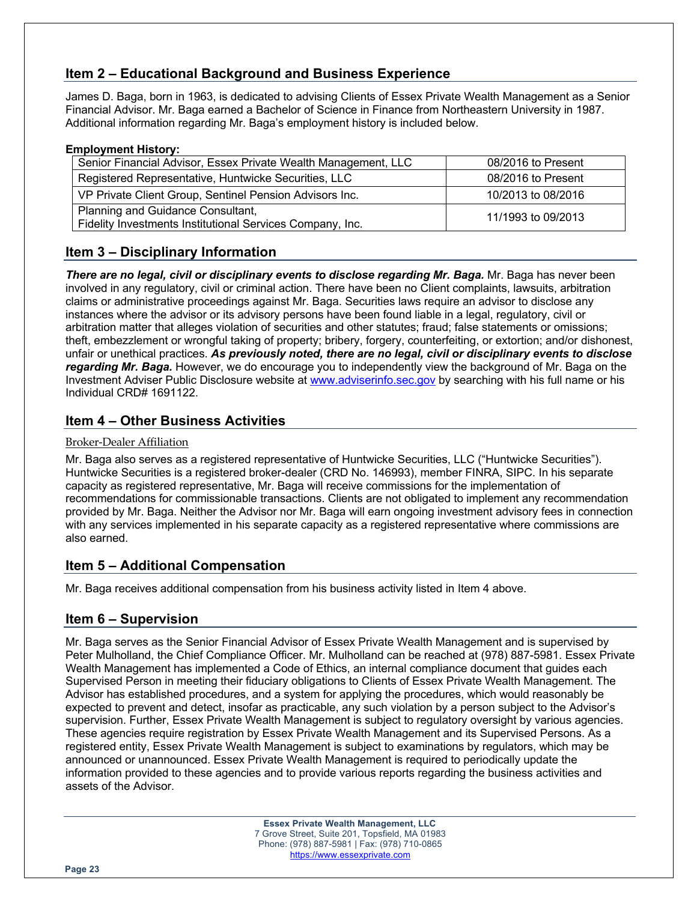# **Item 2 – Educational Background and Business Experience**

James D. Baga, born in 1963, is dedicated to advising Clients of Essex Private Wealth Management as a Senior Financial Advisor. Mr. Baga earned a Bachelor of Science in Finance from Northeastern University in 1987. Additional information regarding Mr. Baga's employment history is included below.

#### **Employment History:**

| Senior Financial Advisor, Essex Private Wealth Management, LLC                                 | 08/2016 to Present |
|------------------------------------------------------------------------------------------------|--------------------|
| Registered Representative, Huntwicke Securities, LLC                                           | 08/2016 to Present |
| VP Private Client Group, Sentinel Pension Advisors Inc.                                        | 10/2013 to 08/2016 |
| Planning and Guidance Consultant,<br>Fidelity Investments Institutional Services Company, Inc. | 11/1993 to 09/2013 |

# **Item 3 – Disciplinary Information**

*There are no legal, civil or disciplinary events to disclose regarding Mr. Baga.* Mr. Baga has never been involved in any regulatory, civil or criminal action. There have been no Client complaints, lawsuits, arbitration claims or administrative proceedings against Mr. Baga. Securities laws require an advisor to disclose any instances where the advisor or its advisory persons have been found liable in a legal, regulatory, civil or arbitration matter that alleges violation of securities and other statutes; fraud; false statements or omissions; theft, embezzlement or wrongful taking of property; bribery, forgery, counterfeiting, or extortion; and/or dishonest, unfair or unethical practices. *As previously noted, there are no legal, civil or disciplinary events to disclose regarding Mr. Baga.* However, we do encourage you to independently view the background of Mr. Baga on the Investment Adviser Public Disclosure website at www.adviserinfo.sec.gov by searching with his full name or his Individual CRD# 1691122.

# **Item 4 – Other Business Activities**

### Broker-Dealer Affiliation

Mr. Baga also serves as a registered representative of Huntwicke Securities, LLC ("Huntwicke Securities"). Huntwicke Securities is a registered broker-dealer (CRD No. 146993), member FINRA, SIPC. In his separate capacity as registered representative, Mr. Baga will receive commissions for the implementation of recommendations for commissionable transactions. Clients are not obligated to implement any recommendation provided by Mr. Baga. Neither the Advisor nor Mr. Baga will earn ongoing investment advisory fees in connection with any services implemented in his separate capacity as a registered representative where commissions are also earned.

# **Item 5 – Additional Compensation**

Mr. Baga receives additional compensation from his business activity listed in Item 4 above.

# **Item 6 – Supervision**

Mr. Baga serves as the Senior Financial Advisor of Essex Private Wealth Management and is supervised by Peter Mulholland, the Chief Compliance Officer. Mr. Mulholland can be reached at (978) 887-5981. Essex Private Wealth Management has implemented a Code of Ethics, an internal compliance document that guides each Supervised Person in meeting their fiduciary obligations to Clients of Essex Private Wealth Management. The Advisor has established procedures, and a system for applying the procedures, which would reasonably be expected to prevent and detect, insofar as practicable, any such violation by a person subject to the Advisor's supervision. Further, Essex Private Wealth Management is subject to regulatory oversight by various agencies. These agencies require registration by Essex Private Wealth Management and its Supervised Persons. As a registered entity, Essex Private Wealth Management is subject to examinations by regulators, which may be announced or unannounced. Essex Private Wealth Management is required to periodically update the information provided to these agencies and to provide various reports regarding the business activities and assets of the Advisor.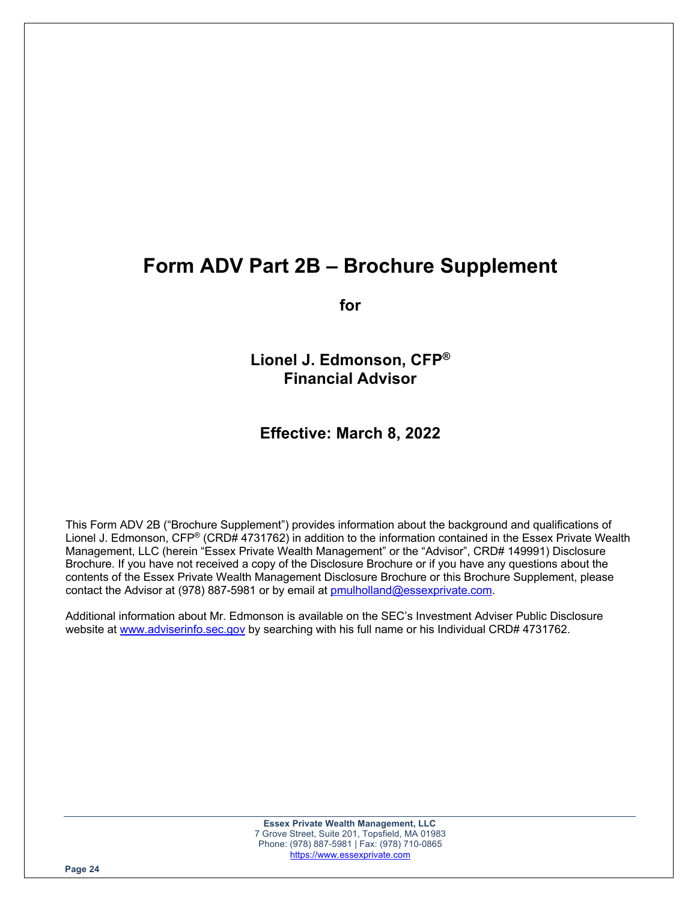# **Form ADV Part 2B – Brochure Supplement**

**for**

**Lionel J. Edmonson, CFP® Financial Advisor**

**Effective: March 8, 2022**

This Form ADV 2B ("Brochure Supplement") provides information about the background and qualifications of Lionel J. Edmonson, CFP® (CRD# 4731762) in addition to the information contained in the Essex Private Wealth Management, LLC (herein "Essex Private Wealth Management" or the "Advisor", CRD# 149991) Disclosure Brochure. If you have not received a copy of the Disclosure Brochure or if you have any questions about the contents of the Essex Private Wealth Management Disclosure Brochure or this Brochure Supplement, please contact the Advisor at (978) 887-5981 or by email at pmulholland@essexprivate.com.

Additional information about Mr. Edmonson is available on the SEC's Investment Adviser Public Disclosure website at www.adviserinfo.sec.gov by searching with his full name or his Individual CRD# 4731762.

> **Essex Private Wealth Management, LLC** 7 Grove Street, Suite 201, Topsfield, MA 01983 Phone: (978) 887-5981 | Fax: (978) 710-0865 https://www.essexprivate.com

**Page 24**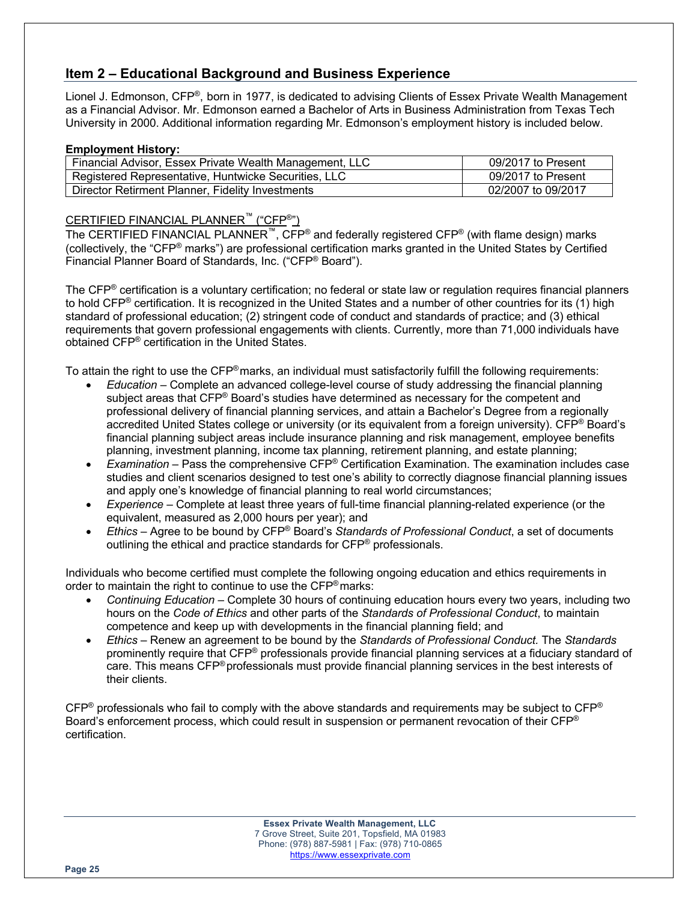# **Item 2 – Educational Background and Business Experience**

Lionel J. Edmonson, CFP®, born in 1977, is dedicated to advising Clients of Essex Private Wealth Management as a Financial Advisor. Mr. Edmonson earned a Bachelor of Arts in Business Administration from Texas Tech University in 2000. Additional information regarding Mr. Edmonson's employment history is included below.

#### **Employment History:**

| Financial Advisor, Essex Private Wealth Management, LLC | 09/2017 to Present |
|---------------------------------------------------------|--------------------|
| Registered Representative, Huntwicke Securities, LLC    | 09/2017 to Present |
| Director Retirment Planner, Fidelity Investments        | 02/2007 to 09/2017 |

### CERTIFIED FINANCIAL PLANNER™ ("CFP®")

The CERTIFIED FINANCIAL PLANNER<sup>™</sup>, CFP<sup>®</sup> and federally registered CFP<sup>®</sup> (with flame design) marks (collectively, the "CFP® marks") are professional certification marks granted in the United States by Certified Financial Planner Board of Standards, Inc. ("CFP® Board").

The CFP® certification is a voluntary certification; no federal or state law or regulation requires financial planners to hold CFP® certification. It is recognized in the United States and a number of other countries for its (1) high standard of professional education; (2) stringent code of conduct and standards of practice; and (3) ethical requirements that govern professional engagements with clients. Currently, more than 71,000 individuals have obtained CFP® certification in the United States.

To attain the right to use the CFP®marks, an individual must satisfactorily fulfill the following requirements:

- *Education* Complete an advanced college-level course of study addressing the financial planning subject areas that CFP® Board's studies have determined as necessary for the competent and professional delivery of financial planning services, and attain a Bachelor's Degree from a regionally accredited United States college or university (or its equivalent from a foreign university). CFP® Board's financial planning subject areas include insurance planning and risk management, employee benefits planning, investment planning, income tax planning, retirement planning, and estate planning;
- *Examination* Pass the comprehensive CFP® Certification Examination. The examination includes case studies and client scenarios designed to test one's ability to correctly diagnose financial planning issues and apply one's knowledge of financial planning to real world circumstances;
- *Experience* Complete at least three years of full-time financial planning-related experience (or the equivalent, measured as 2,000 hours per year); and
- *Ethics* Agree to be bound by CFP® Board's *Standards of Professional Conduct*, a set of documents outlining the ethical and practice standards for CFP® professionals.

Individuals who become certified must complete the following ongoing education and ethics requirements in order to maintain the right to continue to use the CFP<sup>®</sup> marks:

- *Continuing Education* Complete 30 hours of continuing education hours every two years, including two hours on the *Code of Ethics* and other parts of the *Standards of Professional Conduct*, to maintain competence and keep up with developments in the financial planning field; and
- *Ethics* Renew an agreement to be bound by the *Standards of Professional Conduct.* The *Standards* prominently require that CFP® professionals provide financial planning services at a fiduciary standard of care. This means CFP® professionals must provide financial planning services in the best interests of their clients.

 $CFP<sup>®</sup>$  professionals who fail to comply with the above standards and requirements may be subject to  $CFP<sup>®</sup>$ Board's enforcement process, which could result in suspension or permanent revocation of their CFP<sup>®</sup> certification.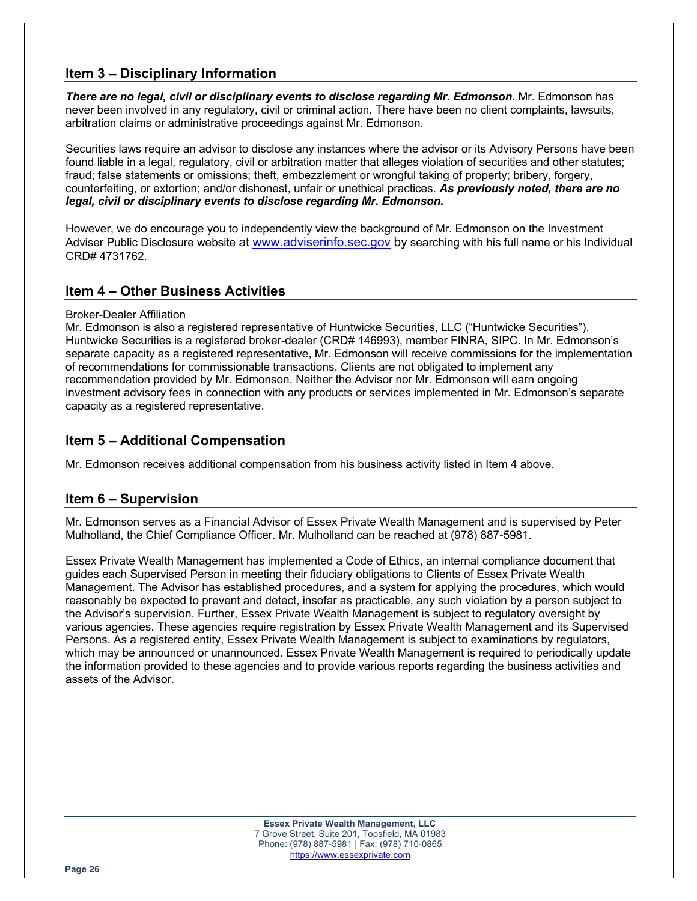## **Item 3 – Disciplinary Information**

*There are no legal, civil or disciplinary events to disclose regarding Mr. Edmonson.* Mr. Edmonson has never been involved in any regulatory, civil or criminal action. There have been no client complaints, lawsuits, arbitration claims or administrative proceedings against Mr. Edmonson.

Securities laws require an advisor to disclose any instances where the advisor or its Advisory Persons have been found liable in a legal, regulatory, civil or arbitration matter that alleges violation of securities and other statutes; fraud; false statements or omissions; theft, embezzlement or wrongful taking of property; bribery, forgery, counterfeiting, or extortion; and/or dishonest, unfair or unethical practices. *As previously noted, there are no legal, civil or disciplinary events to disclose regarding Mr. Edmonson.*

However, we do encourage you to independently view the background of Mr. Edmonson on the Investment Adviser Public Disclosure website at www.adviserinfo.sec.gov by searching with his full name or his Individual CRD# 4731762.

## **Item 4 – Other Business Activities**

#### Broker-Dealer Affiliation

Mr. Edmonson is also a registered representative of Huntwicke Securities, LLC ("Huntwicke Securities"). Huntwicke Securities is a registered broker-dealer (CRD# 146993), member FINRA, SIPC. In Mr. Edmonson's separate capacity as a registered representative, Mr. Edmonson will receive commissions for the implementation of recommendations for commissionable transactions. Clients are not obligated to implement any recommendation provided by Mr. Edmonson. Neither the Advisor nor Mr. Edmonson will earn ongoing investment advisory fees in connection with any products or services implemented in Mr. Edmonson's separate capacity as a registered representative.

## **Item 5 – Additional Compensation**

Mr. Edmonson receives additional compensation from his business activity listed in Item 4 above.

## **Item 6 – Supervision**

Mr. Edmonson serves as a Financial Advisor of Essex Private Wealth Management and is supervised by Peter Mulholland, the Chief Compliance Officer. Mr. Mulholland can be reached at (978) 887-5981.

Essex Private Wealth Management has implemented a Code of Ethics, an internal compliance document that guides each Supervised Person in meeting their fiduciary obligations to Clients of Essex Private Wealth Management. The Advisor has established procedures, and a system for applying the procedures, which would reasonably be expected to prevent and detect, insofar as practicable, any such violation by a person subject to the Advisor's supervision. Further, Essex Private Wealth Management is subject to regulatory oversight by various agencies. These agencies require registration by Essex Private Wealth Management and its Supervised Persons. As a registered entity, Essex Private Wealth Management is subject to examinations by regulators, which may be announced or unannounced. Essex Private Wealth Management is required to periodically update the information provided to these agencies and to provide various reports regarding the business activities and assets of the Advisor.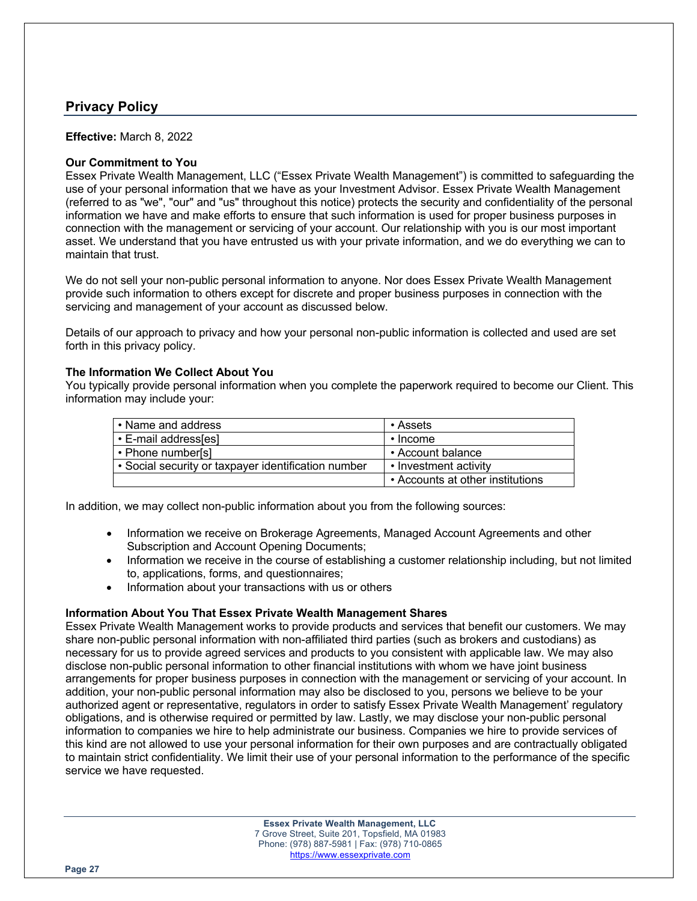# **Privacy Policy**

**Effective:** March 8, 2022

#### **Our Commitment to You**

Essex Private Wealth Management, LLC ("Essex Private Wealth Management") is committed to safeguarding the use of your personal information that we have as your Investment Advisor. Essex Private Wealth Management (referred to as "we", "our" and "us" throughout this notice) protects the security and confidentiality of the personal information we have and make efforts to ensure that such information is used for proper business purposes in connection with the management or servicing of your account. Our relationship with you is our most important asset. We understand that you have entrusted us with your private information, and we do everything we can to maintain that trust.

We do not sell your non-public personal information to anyone. Nor does Essex Private Wealth Management provide such information to others except for discrete and proper business purposes in connection with the servicing and management of your account as discussed below.

Details of our approach to privacy and how your personal non-public information is collected and used are set forth in this privacy policy.

#### **The Information We Collect About You**

You typically provide personal information when you complete the paperwork required to become our Client. This information may include your:

| • Name and address                                  | ∙ Assets                         |
|-----------------------------------------------------|----------------------------------|
| • E-mail address[es]                                | $\cdot$ Income                   |
| • Phone number[s]                                   | • Account balance                |
| • Social security or taxpayer identification number | • Investment activity            |
|                                                     | • Accounts at other institutions |

In addition, we may collect non-public information about you from the following sources:

- Information we receive on Brokerage Agreements, Managed Account Agreements and other Subscription and Account Opening Documents;
- Information we receive in the course of establishing a customer relationship including, but not limited to, applications, forms, and questionnaires;
- Information about your transactions with us or others

#### **Information About You That Essex Private Wealth Management Shares**

Essex Private Wealth Management works to provide products and services that benefit our customers. We may share non-public personal information with non-affiliated third parties (such as brokers and custodians) as necessary for us to provide agreed services and products to you consistent with applicable law. We may also disclose non-public personal information to other financial institutions with whom we have joint business arrangements for proper business purposes in connection with the management or servicing of your account. In addition, your non-public personal information may also be disclosed to you, persons we believe to be your authorized agent or representative, regulators in order to satisfy Essex Private Wealth Management' regulatory obligations, and is otherwise required or permitted by law. Lastly, we may disclose your non-public personal information to companies we hire to help administrate our business. Companies we hire to provide services of this kind are not allowed to use your personal information for their own purposes and are contractually obligated to maintain strict confidentiality. We limit their use of your personal information to the performance of the specific service we have requested.